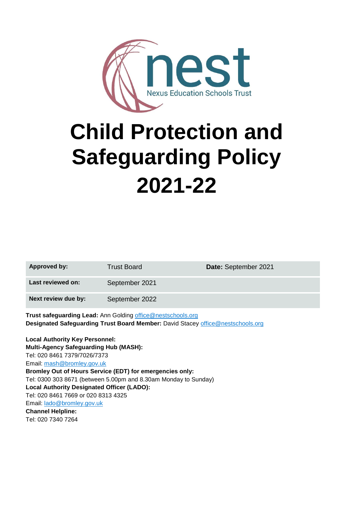

# **Child Protection and Safeguarding Policy 2021-22**

| <b>Approved by:</b>                                                                                                                                   | <b>Trust Board</b> | Date: September 2021 |  |  |
|-------------------------------------------------------------------------------------------------------------------------------------------------------|--------------------|----------------------|--|--|
| Last reviewed on:                                                                                                                                     | September 2021     |                      |  |  |
| Next review due by:                                                                                                                                   | September 2022     |                      |  |  |
| <b>Trust safeguarding Lead:</b> Ann Golding office@nestschools.org<br>Designated Safeguarding Trust Board Member: David Stacey office@nestschools.org |                    |                      |  |  |
| <b>Local Authority Key Personnel:</b><br><b>Multi-Agency Safeguarding Hub (MASH):</b>                                                                 |                    |                      |  |  |
| Tel: 020 8461 7379/7026/7373                                                                                                                          |                    |                      |  |  |

Email: [mash@bromley.gov.uk](mailto:mash@bromley.gov.uk) **Bromley Out of Hours Service (EDT) for emergencies only:** Tel: 0300 303 8671 (between 5.00pm and 8.30am Monday to Sunday) **Local Authority Designated Officer (LADO):** Tel: 020 8461 7669 or 020 8313 4325 Email: [lado@bromley.gov.uk](mailto:lado@bromley.gov.uk) **Channel Helpline:** Tel: 020 7340 7264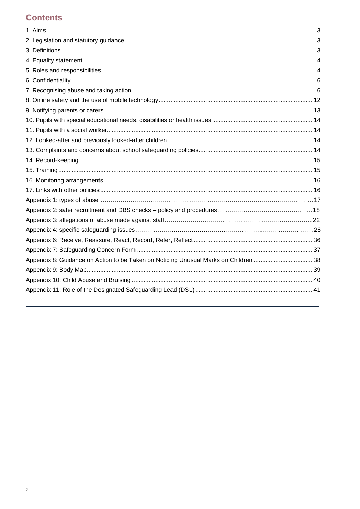# **Contents**

| Appendix 8: Guidance on Action to be Taken on Noticing Unusual Marks on Children  38 |  |
|--------------------------------------------------------------------------------------|--|
|                                                                                      |  |
|                                                                                      |  |
|                                                                                      |  |
|                                                                                      |  |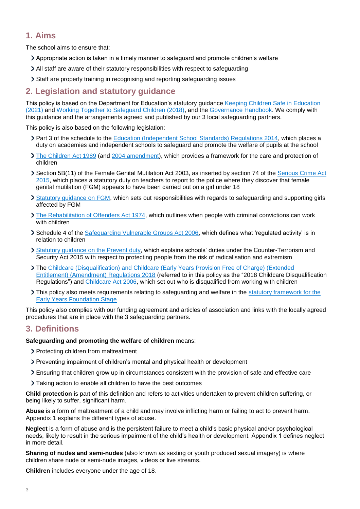# <span id="page-2-0"></span>**1. Aims**

The school aims to ensure that:

- Appropriate action is taken in a timely manner to safeguard and promote children's welfare
- All staff are aware of their statutory responsibilities with respect to safeguarding
- Staff are properly training in recognising and reporting safeguarding issues

# <span id="page-2-1"></span>**2. Legislation and statutory guidance**

This policy is based on the Department for Education's statutory guidance [Keeping Children Safe in Education](https://www.gov.uk/government/publications/keeping-children-safe-in-education--2)  [\(2021\)](https://www.gov.uk/government/publications/keeping-children-safe-in-education--2) and [Working Together to Safeguard Children \(2018\),](https://www.gov.uk/government/publications/working-together-to-safeguard-children--2) and the [Governance Handbook.](https://www.gov.uk/government/publications/governance-handbook) We comply with this guidance and the arrangements agreed and published by our 3 local safeguarding partners.

This policy is also based on the following legislation:

- > Part 3 of the schedule to the [Education \(Independent School Standards\) Regulations 2014,](http://www.legislation.gov.uk/uksi/2014/3283/schedule/part/3/made) which places a duty on academies and independent schools to safeguard and promote the welfare of pupils at the school
- [The Children Act 1989](http://www.legislation.gov.uk/ukpga/1989/41) (and [2004 amendment\)](http://www.legislation.gov.uk/ukpga/2004/31/contents), which provides a framework for the care and protection of children
- Section 5B(11) of the Female Genital Mutilation Act 2003, as inserted by section 74 of the [Serious Crime Act](http://www.legislation.gov.uk/ukpga/2015/9/part/5/crossheading/female-genital-mutilation)  [2015,](http://www.legislation.gov.uk/ukpga/2015/9/part/5/crossheading/female-genital-mutilation) which places a statutory duty on teachers to report to the police where they discover that female genital mutilation (FGM) appears to have been carried out on a girl under 18
- [Statutory guidance on FGM,](https://www.gov.uk/government/publications/multi-agency-statutory-guidance-on-female-genital-mutilation) which sets out responsibilities with regards to safeguarding and supporting girls affected by FGM
- [The Rehabilitation of Offenders Act 1974,](http://www.legislation.gov.uk/ukpga/1974/53) which outlines when people with criminal convictions can work with children
- Schedule 4 of the [Safeguarding Vulnerable Groups Act 2006,](http://www.legislation.gov.uk/ukpga/2006/47/schedule/4) which defines what 'regulated activity' is in relation to children
- > [Statutory guidance on the Prevent duty,](https://www.gov.uk/government/publications/prevent-duty-guidance) which explains schools' duties under the Counter-Terrorism and Security Act 2015 with respect to protecting people from the risk of radicalisation and extremism
- The [Childcare \(Disqualification\) and Childcare \(Early Years Provision Free of Charge\) \(Extended](http://www.legislation.gov.uk/uksi/2018/794/contents/made)  [Entitlement\) \(Amendment\) Regulations 2018](http://www.legislation.gov.uk/uksi/2018/794/contents/made) (referred to in this policy as the "2018 Childcare Disqualification Regulations") and [Childcare Act 2006,](http://www.legislation.gov.uk/ukpga/2006/21/contents) which set out who is disqualified from working with children
- This policy also meets requirements relating to safeguarding and welfare in the statutory framework for the [Early Years Foundation Stage](https://www.gov.uk/government/publications/early-years-foundation-stage-framework--2)

This policy also complies with our funding agreement and articles of association and links with the locally agreed procedures that are in place with the 3 safeguarding partners.

# <span id="page-2-2"></span>**3. Definitions**

#### **Safeguarding and promoting the welfare of children** means:

- > Protecting children from maltreatment
- Preventing impairment of children's mental and physical health or development
- Ensuring that children grow up in circumstances consistent with the provision of safe and effective care
- Taking action to enable all children to have the best outcomes

**Child protection** is part of this definition and refers to activities undertaken to prevent children suffering, or being likely to suffer, significant harm.

**Abuse** is a form of maltreatment of a child and may involve inflicting harm or failing to act to prevent harm. Appendix 1 explains the different types of abuse.

**Neglect** is a form of abuse and is the persistent failure to meet a child's basic physical and/or psychological needs, likely to result in the serious impairment of the child's health or development. Appendix 1 defines neglect in more detail.

**Sharing of nudes and semi-nudes** (also known as sexting or youth produced sexual imagery) is where children share nude or semi-nude images, videos or live streams.

**Children** includes everyone under the age of 18.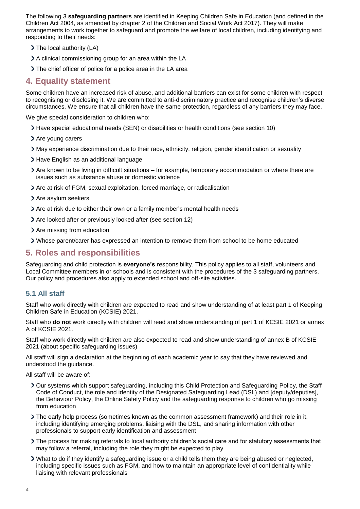The following 3 **safeguarding partners** are identified in Keeping Children Safe in Education (and defined in the Children Act 2004, as amended by chapter 2 of the Children and Social Work Act 2017). They will make arrangements to work together to safeguard and promote the welfare of local children, including identifying and responding to their needs:

- > The local authority (LA)
- A clinical commissioning group for an area within the LA
- The chief officer of police for a police area in the LA area

# <span id="page-3-0"></span>**4. Equality statement**

Some children have an increased risk of abuse, and additional barriers can exist for some children with respect to recognising or disclosing it. We are committed to anti-discriminatory practice and recognise children's diverse circumstances. We ensure that all children have the same protection, regardless of any barriers they may face.

We give special consideration to children who:

- Have special educational needs (SEN) or disabilities or health conditions (see section 10)
- > Are young carers
- May experience discrimination due to their race, ethnicity, religion, gender identification or sexuality
- > Have English as an additional language
- Are known to be living in difficult situations for example, temporary accommodation or where there are issues such as substance abuse or domestic violence
- Are at risk of FGM, sexual exploitation, forced marriage, or radicalisation
- > Are asylum seekers
- Are at risk due to either their own or a family member's mental health needs
- Are looked after or previously looked after (see section 12)
- > Are missing from education
- Whose parent/carer has expressed an intention to remove them from school to be home educated

# <span id="page-3-1"></span>**5. Roles and responsibilities**

Safeguarding and child protection is **everyone's** responsibility. This policy applies to all staff, volunteers and Local Committee members in or schools and is consistent with the procedures of the 3 safeguarding partners. Our policy and procedures also apply to extended school and off-site activities.

#### **5.1 All staff**

Staff who work directly with children are expected to read and show understanding of at least part 1 of Keeping Children Safe in Education (KCSIE) 2021.

Staff who **do not** work directly with children will read and show understanding of part 1 of KCSIE 2021 or annex A of KCSIE 2021.

Staff who work directly with children are also expected to read and show understanding of annex B of KCSIE 2021 (about specific safeguarding issues)

All staff will sign a declaration at the beginning of each academic year to say that they have reviewed and understood the guidance.

All staff will be aware of:

- Our systems which support safeguarding, including this Child Protection and Safeguarding Policy, the Staff Code of Conduct, the role and identity of the Designated Safeguarding Lead (DSL) and [deputy/deputies], the Behaviour Policy, the Online Safety Policy and the safeguarding response to children who go missing from education
- The early help process (sometimes known as the common assessment framework) and their role in it, including identifying emerging problems, liaising with the DSL, and sharing information with other professionals to support early identification and assessment
- The process for making referrals to local authority children's social care and for statutory assessments that may follow a referral, including the role they might be expected to play
- What to do if they identify a safeguarding issue or a child tells them they are being abused or neglected, including specific issues such as FGM, and how to maintain an appropriate level of confidentiality while liaising with relevant professionals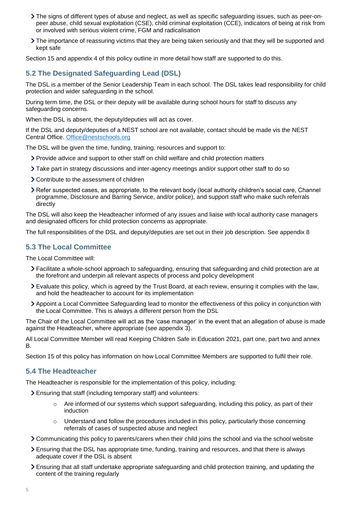- The signs of different types of abuse and neglect, as well as specific safeguarding issues, such as peer-onpeer abuse, child sexual exploitation (CSE), child criminal exploitation (CCE), indicators of being at risk from or involved with serious violent crime, FGM and radicalisation
- The importance of reassuring victims that they are being taken seriously and that they will be supported and kept safe

Section 15 and appendix 4 of this policy outline in more detail how staff are supported to do this.

# **5.2 The Designated Safeguarding Lead (DSL)**

The DSL is a member of the Senior Leadership Team in each school. The DSL takes lead responsibility for child protection and wider safeguarding in the school.

During term time, the DSL or their deputy will be available during school hours for staff to discuss any safeguarding concerns.

When the DSL is absent, the deputy/deputies will act as cover.

If the DSL and deputy/deputies of a NEST school are not available, contact should be made vis the NEST Central Office. [Office@nestschools.org](mailto:Office@nestschools.org)

The DSL will be given the time, funding, training, resources and support to:

- Provide advice and support to other staff on child welfare and child protection matters
- Take part in strategy discussions and inter-agency meetings and/or support other staff to do so
- Contribute to the assessment of children
- Refer suspected cases, as appropriate, to the relevant body (local authority children's social care, Channel programme, Disclosure and Barring Service, and/or police), and support staff who make such referrals directly

The DSL will also keep the Headteacher informed of any issues and liaise with local authority case managers and designated officers for child protection concerns as appropriate.

The full responsibilities of the DSL and deputy/deputies are set out in their job description. See appendix 8

## **5.3 The Local Committee**

The Local Committee will:

- Facilitate a whole-school approach to safeguarding, ensuring that safeguarding and child protection are at the forefront and underpin all relevant aspects of process and policy development
- Evaluate this policy, which is agreed by the Trust Board, at each review, ensuring it complies with the law, and hold the headteacher to account for its implementation
- Appoint a Local Committee Safeguarding lead to monitor the effectiveness of this policy in conjunction with the Local Committee. This is always a different person from the DSL

The Chair of the Local Committee will act as the 'case manager' in the event that an allegation of abuse is made against the Headteacher, where appropriate (see appendix 3).

All Local Committee Member will read Keeping Children Safe in Education 2021, part one, part two and annex B.

Section 15 of this policy has information on how Local Committee Members are supported to fulfil their role.

#### **5.4 The Headteacher**

The Headteacher is responsible for the implementation of this policy, including:

- Ensuring that staff (including temporary staff) and volunteers:
	- $\circ$  Are informed of our systems which support safeguarding, including this policy, as part of their induction
	- $\circ$  Understand and follow the procedures included in this policy, particularly those concerning referrals of cases of suspected abuse and neglect
- Communicating this policy to parents/carers when their child joins the school and via the school website
- Ensuring that the DSL has appropriate time, funding, training and resources, and that there is always adequate cover if the DSL is absent
- Ensuring that all staff undertake appropriate safeguarding and child protection training, and updating the content of the training regularly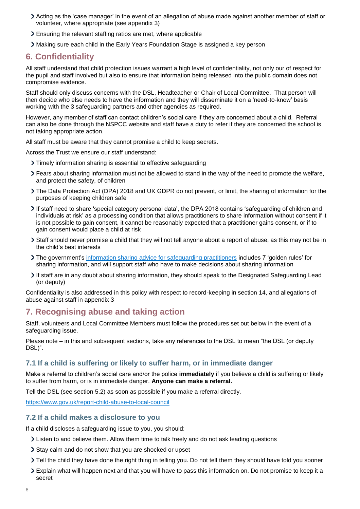- Acting as the 'case manager' in the event of an allegation of abuse made against another member of staff or volunteer, where appropriate (see appendix 3)
- Ensuring the relevant staffing ratios are met, where applicable
- Making sure each child in the Early Years Foundation Stage is assigned a key person

# <span id="page-5-0"></span>**6. Confidentiality**

All staff understand that child protection issues warrant a high level of confidentiality, not only our of respect for the pupil and staff involved but also to ensure that information being released into the public domain does not compromise evidence.

Staff should only discuss concerns with the DSL, Headteacher or Chair of Local Committee. That person will then decide who else needs to have the information and they will disseminate it on a 'need-to-know' basis working with the 3 safeguarding partners and other agencies as required.

However, any member of staff can contact children's social care if they are concerned about a child. Referral can also be done through the NSPCC website and staff have a duty to refer if they are concerned the school is not taking appropriate action.

All staff must be aware that they cannot promise a child to keep secrets.

Across the Trust we ensure our staff understand:

- Timely information sharing is essential to effective safeguarding
- Fears about sharing information must not be allowed to stand in the way of the need to promote the welfare, and protect the safety, of children
- The Data Protection Act (DPA) 2018 and UK GDPR do not prevent, or limit, the sharing of information for the purposes of keeping children safe
- If staff need to share 'special category personal data', the DPA 2018 contains 'safeguarding of children and individuals at risk' as a processing condition that allows practitioners to share information without consent if it is not possible to gain consent, it cannot be reasonably expected that a practitioner gains consent, or if to gain consent would place a child at risk
- Staff should never promise a child that they will not tell anyone about a report of abuse, as this may not be in the child's best interests
- The government's [information sharing advice for safeguarding practitioners](https://www.gov.uk/government/publications/safeguarding-practitioners-information-sharing-advice) includes 7 'golden rules' for sharing information, and will support staff who have to make decisions about sharing information
- If staff are in any doubt about sharing information, they should speak to the Designated Safeguarding Lead (or deputy)

Confidentiality is also addressed in this policy with respect to record-keeping in section 14, and allegations of abuse against staff in appendix 3

# <span id="page-5-1"></span>**7. Recognising abuse and taking action**

Staff, volunteers and Local Committee Members must follow the procedures set out below in the event of a safeguarding issue.

Please note – in this and subsequent sections, take any references to the DSL to mean "the DSL (or deputy DSL)".

#### **7.1 If a child is suffering or likely to suffer harm, or in immediate danger**

Make a referral to children's social care and/or the police **immediately** if you believe a child is suffering or likely to suffer from harm, or is in immediate danger. **Anyone can make a referral.**

Tell the DSL (see section 5.2) as soon as possible if you make a referral directly.

<https://www.gov.uk/report-child-abuse-to-local-council>

#### **7.2 If a child makes a disclosure to you**

If a child discloses a safeguarding issue to you, you should:

- Listen to and believe them. Allow them time to talk freely and do not ask leading questions
- Stay calm and do not show that you are shocked or upset
- Tell the child they have done the right thing in telling you. Do not tell them they should have told you sooner
- Explain what will happen next and that you will have to pass this information on. Do not promise to keep it a secret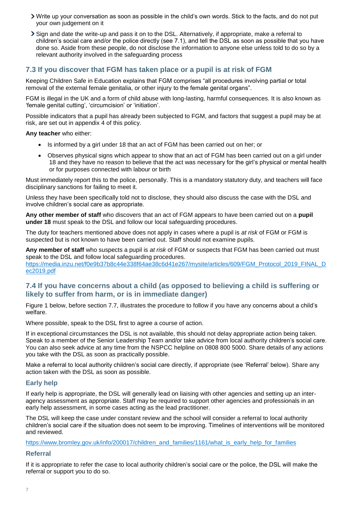- Write up your conversation as soon as possible in the child's own words. Stick to the facts, and do not put your own judgement on it
- Sign and date the write-up and pass it on to the DSL. Alternatively, if appropriate, make a referral to children's social care and/or the police directly (see 7.1), and tell the DSL as soon as possible that you have done so. Aside from these people, do not disclose the information to anyone else unless told to do so by a relevant authority involved in the safeguarding process

# **7.3 If you discover that FGM has taken place or a pupil is at risk of FGM**

Keeping Children Safe in Education explains that FGM comprises "all procedures involving partial or total removal of the external female genitalia, or other injury to the female genital organs".

FGM is illegal in the UK and a form of child abuse with long-lasting, harmful consequences. It is also known as 'female genital cutting', 'circumcision' or 'initiation'.

Possible indicators that a pupil has already been subjected to FGM, and factors that suggest a pupil may be at risk, are set out in appendix 4 of this policy.

**Any teacher** who either:

- Is informed by a girl under 18 that an act of FGM has been carried out on her; or
- Observes physical signs which appear to show that an act of FGM has been carried out on a girl under 18 and they have no reason to believe that the act was necessary for the girl's physical or mental health or for purposes connected with labour or birth

Must immediately report this to the police, personally. This is a mandatory statutory duty, and teachers will face disciplinary sanctions for failing to meet it.

Unless they have been specifically told not to disclose, they should also discuss the case with the DSL and involve children's social care as appropriate.

**Any other member of staff** who discovers that an act of FGM appears to have been carried out on a **pupil under 18** must speak to the DSL and follow our local safeguarding procedures.

The duty for teachers mentioned above does not apply in cases where a pupil is *at risk* of FGM or FGM is suspected but is not known to have been carried out. Staff should not examine pupils.

**Any member of staff** who suspects a pupil is *at risk* of FGM or suspects that FGM has been carried out must speak to the DSL and follow local safeguarding procedures.

[https://media.inzu.net/f0e9b37b8c44e338f64ae38c6d41e267/mysite/articles/609/FGM\\_Protocol\\_2019\\_FINAL\\_D](https://media.inzu.net/f0e9b37b8c44e338f64ae38c6d41e267/mysite/articles/609/FGM_Protocol_2019_FINAL_Dec2019.pdf) [ec2019.pdf](https://media.inzu.net/f0e9b37b8c44e338f64ae38c6d41e267/mysite/articles/609/FGM_Protocol_2019_FINAL_Dec2019.pdf)

## **7.4 If you have concerns about a child (as opposed to believing a child is suffering or likely to suffer from harm, or is in immediate danger)**

Figure 1 below, before section 7.7, illustrates the procedure to follow if you have any concerns about a child's welfare.

Where possible, speak to the DSL first to agree a course of action.

If in exceptional circumstances the DSL is not available, this should not delay appropriate action being taken. Speak to a member of the Senior Leadership Team and/or take advice from local authority children's social care. You can also seek advice at any time from the NSPCC helpline on 0808 800 5000. Share details of any actions you take with the DSL as soon as practically possible.

Make a referral to local authority children's social care directly, if appropriate (see 'Referral' below). Share any action taken with the DSL as soon as possible.

#### **Early help**

If early help is appropriate, the DSL will generally lead on liaising with other agencies and setting up an interagency assessment as appropriate. Staff may be required to support other agencies and professionals in an early help assessment, in some cases acting as the lead practitioner.

The DSL will keep the case under constant review and the school will consider a referral to local authority children's social care if the situation does not seem to be improving. Timelines of interventions will be monitored and reviewed.

[https://www.bromley.gov.uk/info/200017/children\\_and\\_families/1161/what\\_is\\_early\\_help\\_for\\_families](https://www.bromley.gov.uk/info/200017/children_and_families/1161/what_is_early_help_for_families)

#### **Referral**

If it is appropriate to refer the case to local authority children's social care or the police, the DSL will make the referral or support you to do so.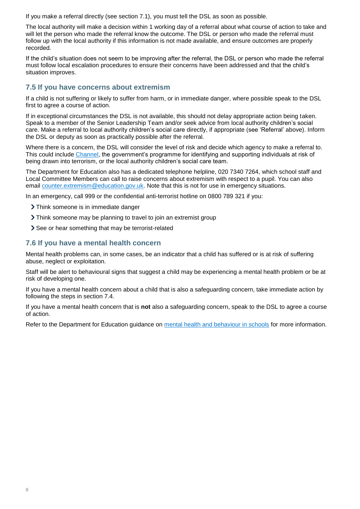If you make a referral directly (see section 7.1), you must tell the DSL as soon as possible.

The local authority will make a decision within 1 working day of a referral about what course of action to take and will let the person who made the referral know the outcome. The DSL or person who made the referral must follow up with the local authority if this information is not made available, and ensure outcomes are properly recorded.

If the child's situation does not seem to be improving after the referral, the DSL or person who made the referral must follow local escalation procedures to ensure their concerns have been addressed and that the child's situation improves.

## **7.5 If you have concerns about extremism**

If a child is not suffering or likely to suffer from harm, or in immediate danger, where possible speak to the DSL first to agree a course of action.

If in exceptional circumstances the DSL is not available, this should not delay appropriate action being taken. Speak to a member of the Senior Leadership Team and/or seek advice from local authority children's social care. Make a referral to local authority children's social care directly, if appropriate (see 'Referral' above). Inform the DSL or deputy as soon as practically possible after the referral.

Where there is a concern, the DSL will consider the level of risk and decide which agency to make a referral to. This could include [Channel,](https://www.gov.uk/government/publications/channel-guidance) the government's programme for identifying and supporting individuals at risk of being drawn into terrorism, or the local authority children's social care team.

The Department for Education also has a dedicated telephone helpline, 020 7340 7264, which school staff and Local Committee Members can call to raise concerns about extremism with respect to a pupil. You can also email [counter.extremism@education.gov.uk.](mailto:counter.extremism@education.gov.uk) Note that this is not for use in emergency situations.

In an emergency, call 999 or the confidential anti-terrorist hotline on 0800 789 321 if you:

- > Think someone is in immediate danger
- Think someone may be planning to travel to join an extremist group
- > See or hear something that may be terrorist-related

#### **7.6 If you have a mental health concern**

Mental health problems can, in some cases, be an indicator that a child has suffered or is at risk of suffering abuse, neglect or exploitation.

Staff will be alert to behavioural signs that suggest a child may be experiencing a mental health problem or be at risk of developing one.

If you have a mental health concern about a child that is also a safeguarding concern, take immediate action by following the steps in section 7.4.

If you have a mental health concern that is **not** also a safeguarding concern, speak to the DSL to agree a course of action.

Refer to the Department for Education guidance on [mental health and behaviour in schools](https://www.gov.uk/government/publications/mental-health-and-behaviour-in-schools--2) for more information.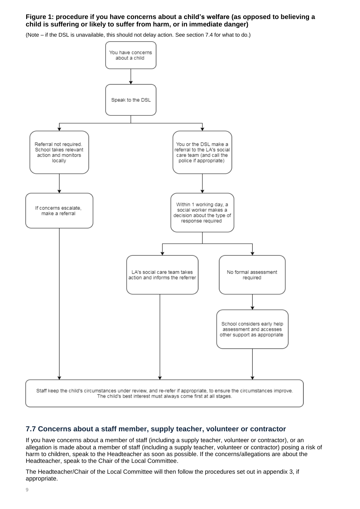#### **Figure 1: procedure if you have concerns about a child's welfare (as opposed to believing a child is suffering or likely to suffer from harm, or in immediate danger)**

(Note – if the DSL is unavailable, this should not delay action. See section 7.4 for what to do.)



# **7.7 Concerns about a staff member, supply teacher, volunteer or contractor**

If you have concerns about a member of staff (including a supply teacher, volunteer or contractor), or an allegation is made about a member of staff (including a supply teacher, volunteer or contractor) posing a risk of harm to children, speak to the Headteacher as soon as possible. If the concerns/allegations are about the Headteacher, speak to the Chair of the Local Committee.

The Headteacher/Chair of the Local Committee will then follow the procedures set out in appendix 3, if appropriate.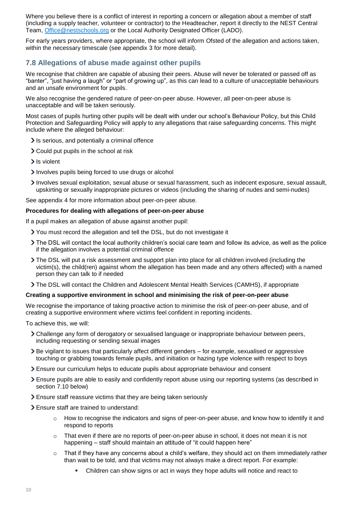Where you believe there is a conflict of interest in reporting a concern or allegation about a member of staff (including a supply teacher, volunteer or contractor) to the Headteacher, report it directly to the NEST Central Team, [Office@nestschools.org](mailto:Office@nestschools.org) or the Local Authority Designated Officer (LADO).

For early years providers, where appropriate, the school will inform Ofsted of the allegation and actions taken, within the necessary timescale (see appendix 3 for more detail).

# **7.8 Allegations of abuse made against other pupils**

We recognise that children are capable of abusing their peers. Abuse will never be tolerated or passed off as "banter", "just having a laugh" or "part of growing up", as this can lead to a culture of unacceptable behaviours and an unsafe environment for pupils.

We also recognise the gendered nature of peer-on-peer abuse. However, all peer-on-peer abuse is unacceptable and will be taken seriously.

Most cases of pupils hurting other pupils will be dealt with under our school's Behaviour Policy, but this Child Protection and Safeguarding Policy will apply to any allegations that raise safeguarding concerns. This might include where the alleged behaviour:

- $\ge$  Is serious, and potentially a criminal offence
- Could put pupils in the school at risk
- > Is violent
- Involves pupils being forced to use drugs or alcohol
- Involves sexual exploitation, sexual abuse or sexual harassment, such as indecent exposure, sexual assault, upskirting or sexually inappropriate pictures or videos (including the sharing of nudes and semi-nudes)

See appendix 4 for more information about peer-on-peer abuse.

#### **Procedures for dealing with allegations of peer-on-peer abuse**

If a pupil makes an allegation of abuse against another pupil:

- You must record the allegation and tell the DSL, but do not investigate it
- The DSL will contact the local authority children's social care team and follow its advice, as well as the police if the allegation involves a potential criminal offence
- The DSL will put a risk assessment and support plan into place for all children involved (including the victim(s), the child(ren) against whom the allegation has been made and any others affected) with a named person they can talk to if needed
- The DSL will contact the Children and Adolescent Mental Health Services (CAMHS), if appropriate

#### **Creating a supportive environment in school and minimising the risk of peer-on-peer abuse**

We recognise the importance of taking proactive action to minimise the risk of peer-on-peer abuse, and of creating a supportive environment where victims feel confident in reporting incidents.

To achieve this, we will:

- Challenge any form of derogatory or sexualised language or inappropriate behaviour between peers, including requesting or sending sexual images
- Be vigilant to issues that particularly affect different genders for example, sexualised or aggressive touching or grabbing towards female pupils, and initiation or hazing type violence with respect to boys
- Ensure our curriculum helps to educate pupils about appropriate behaviour and consent
- Ensure pupils are able to easily and confidently report abuse using our reporting systems (as described in section 7.10 below)
- Ensure staff reassure victims that they are being taken seriously
- Ensure staff are trained to understand:
	- o How to recognise the indicators and signs of peer-on-peer abuse, and know how to identify it and respond to reports
	- $\circ$  That even if there are no reports of peer-on-peer abuse in school, it does not mean it is not happening – staff should maintain an attitude of "it could happen here"
	- o That if they have any concerns about a child's welfare, they should act on them immediately rather than wait to be told, and that victims may not always make a direct report. For example:
		- Children can show signs or act in ways they hope adults will notice and react to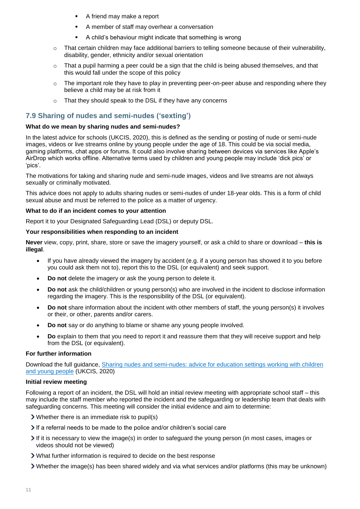- A friend may make a report
- A member of staff may overhear a conversation
- A child's behaviour might indicate that something is wrong
- o That certain children may face additional barriers to telling someone because of their vulnerability, disability, gender, ethnicity and/or sexual orientation
- $\circ$  That a pupil harming a peer could be a sign that the child is being abused themselves, and that this would fall under the scope of this policy
- $\circ$  The important role they have to play in preventing peer-on-peer abuse and responding where they believe a child may be at risk from it
- o That they should speak to the DSL if they have any concerns

## **7.9 Sharing of nudes and semi-nudes ('sexting')**

#### **What do we mean by sharing nudes and semi-nudes?**

In the latest advice for schools (UKCIS, 2020), this is defined as the sending or posting of nude or semi-nude images, videos or live streams online by young people under the age of 18. This could be via social media, gaming platforms, chat apps or forums. It could also involve sharing between devices via services like Apple's AirDrop which works offline. Alternative terms used by children and young people may include 'dick pics' or 'pics'.

The motivations for taking and sharing nude and semi-nude images, videos and live streams are not always sexually or criminally motivated.

This advice does not apply to adults sharing nudes or semi-nudes of under 18-year olds. This is a form of child sexual abuse and must be referred to the police as a matter of urgency.

#### **What to do if an incident comes to your attention**

Report it to your Designated Safeguarding Lead (DSL) or deputy DSL.

#### **Your responsibilities when responding to an incident**

**Never** view, copy, print, share, store or save the imagery yourself, or ask a child to share or download – **this is illegal**.

- If you have already viewed the imagery by accident (e.g. if a young person has showed it to you before you could ask them not to), report this to the DSL (or equivalent) and seek support.
- **Do not** delete the imagery or ask the young person to delete it.
- **Do not** ask the child/children or young person(s) who are involved in the incident to disclose information regarding the imagery. This is the responsibility of the DSL (or equivalent).
- **Do not** share information about the incident with other members of staff, the young person(s) it involves or their, or other, parents and/or carers.
- **Do not** say or do anything to blame or shame any young people involved.
- **Do** explain to them that you need to report it and reassure them that they will receive support and help from the DSL (or equivalent).

#### **For further information**

Download the full guidance, [Sharing nudes and semi-nudes: advice for education settings working with children](https://www.gov.uk/government/publications/sharing-nudes-and-semi-nudes-advice-for-education-settings-working-with-children-and-young-people)  [and young people](https://www.gov.uk/government/publications/sharing-nudes-and-semi-nudes-advice-for-education-settings-working-with-children-and-young-people) (UKCIS, 2020)

#### **Initial review meeting**

Following a report of an incident, the DSL will hold an initial review meeting with appropriate school staff – this may include the staff member who reported the incident and the safeguarding or leadership team that deals with safeguarding concerns. This meeting will consider the initial evidence and aim to determine:

- Whether there is an immediate risk to pupil(s)
- If a referral needs to be made to the police and/or children's social care
- If it is necessary to view the image(s) in order to safeguard the young person (in most cases, images or videos should not be viewed)
- What further information is required to decide on the best response
- Whether the image(s) has been shared widely and via what services and/or platforms (this may be unknown)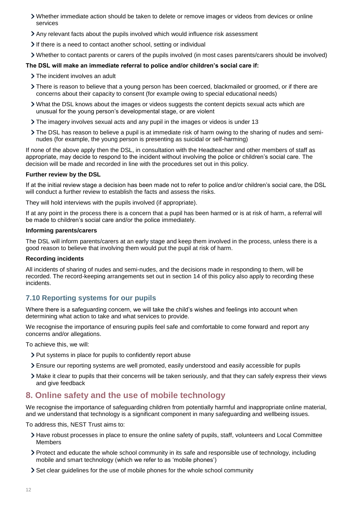- Whether immediate action should be taken to delete or remove images or videos from devices or online services
- Any relevant facts about the pupils involved which would influence risk assessment
- If there is a need to contact another school, setting or individual
- Whether to contact parents or carers of the pupils involved (in most cases parents/carers should be involved)

#### **The DSL will make an immediate referral to police and/or children's social care if:**

- > The incident involves an adult
- There is reason to believe that a young person has been coerced, blackmailed or groomed, or if there are concerns about their capacity to consent (for example owing to special educational needs)
- What the DSL knows about the images or videos suggests the content depicts sexual acts which are unusual for the young person's developmental stage, or are violent
- The imagery involves sexual acts and any pupil in the images or videos is under 13
- The DSL has reason to believe a pupil is at immediate risk of harm owing to the sharing of nudes and seminudes (for example, the young person is presenting as suicidal or self-harming)

If none of the above apply then the DSL, in consultation with the Headteacher and other members of staff as appropriate, may decide to respond to the incident without involving the police or children's social care. The decision will be made and recorded in line with the procedures set out in this policy.

#### **Further review by the DSL**

If at the initial review stage a decision has been made not to refer to police and/or children's social care, the DSL will conduct a further review to establish the facts and assess the risks.

They will hold interviews with the pupils involved (if appropriate).

If at any point in the process there is a concern that a pupil has been harmed or is at risk of harm, a referral will be made to children's social care and/or the police immediately.

#### **Informing parents/carers**

The DSL will inform parents/carers at an early stage and keep them involved in the process, unless there is a good reason to believe that involving them would put the pupil at risk of harm.

#### **Recording incidents**

All incidents of sharing of nudes and semi-nudes, and the decisions made in responding to them, will be recorded. The record-keeping arrangements set out in section 14 of this policy also apply to recording these incidents.

#### **7.10 Reporting systems for our pupils**

Where there is a safeguarding concern, we will take the child's wishes and feelings into account when determining what action to take and what services to provide.

We recognise the importance of ensuring pupils feel safe and comfortable to come forward and report any concerns and/or allegations.

To achieve this, we will:

- > Put systems in place for pupils to confidently report abuse
- Ensure our reporting systems are well promoted, easily understood and easily accessible for pupils
- Make it clear to pupils that their concerns will be taken seriously, and that they can safely express their views and give feedback

# <span id="page-11-0"></span>**8. Online safety and the use of mobile technology**

We recognise the importance of safeguarding children from potentially harmful and inappropriate online material, and we understand that technology is a significant component in many safeguarding and wellbeing issues.

To address this, NEST Trust aims to:

- Have robust processes in place to ensure the online safety of pupils, staff, volunteers and Local Committee Members
- Protect and educate the whole school community in its safe and responsible use of technology, including mobile and smart technology (which we refer to as 'mobile phones')
- Set clear quidelines for the use of mobile phones for the whole school community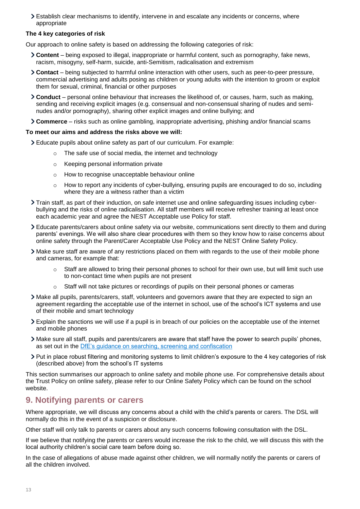Establish clear mechanisms to identify, intervene in and escalate any incidents or concerns, where appropriate

#### **The 4 key categories of risk**

Our approach to online safety is based on addressing the following categories of risk:

- **Content** being exposed to illegal, inappropriate or harmful content, such as pornography, fake news, racism, misogyny, self-harm, suicide, anti-Semitism, radicalisation and extremism
- **Contact** being subjected to harmful online interaction with other users, such as peer-to-peer pressure, commercial advertising and adults posing as children or young adults with the intention to groom or exploit them for sexual, criminal, financial or other purposes
- **Conduct** personal online behaviour that increases the likelihood of, or causes, harm, such as making, sending and receiving explicit images (e.g. consensual and non-consensual sharing of nudes and seminudes and/or pornography), sharing other explicit images and online bullying; and
- **Commerce** risks such as online gambling, inappropriate advertising, phishing and/or financial scams

#### **To meet our aims and address the risks above we will:**

Educate pupils about online safety as part of our curriculum. For example:

- o The safe use of social media, the internet and technology
- o Keeping personal information private
- o How to recognise unacceptable behaviour online
- $\circ$  How to report any incidents of cyber-bullying, ensuring pupils are encouraged to do so, including where they are a witness rather than a victim
- Train staff, as part of their induction, on safe internet use and online safeguarding issues including cyberbullying and the risks of online radicalisation. All staff members will receive refresher training at least once each academic year and agree the NEST Acceptable use Policy for staff.
- Educate parents/carers about online safety via our website, communications sent directly to them and during parents' evenings. We will also share clear procedures with them so they know how to raise concerns about online safety through the Parent/Carer Acceptable Use Policy and the NEST Online Safety Policy.
- Make sure staff are aware of any restrictions placed on them with regards to the use of their mobile phone and cameras, for example that:
	- $\circ$  Staff are allowed to bring their personal phones to school for their own use, but will limit such use to non-contact time when pupils are not present
	- o Staff will not take pictures or recordings of pupils on their personal phones or cameras
- Make all pupils, parents/carers, staff, volunteers and governors aware that they are expected to sign an agreement regarding the acceptable use of the internet in school, use of the school's ICT systems and use of their mobile and smart technology
- Explain the sanctions we will use if a pupil is in breach of our policies on the acceptable use of the internet and mobile phones
- Make sure all staff, pupils and parents/carers are aware that staff have the power to search pupils' phones, as set out in the [DfE's guidance on searching, screening and confiscation](https://www.gov.uk/government/publications/searching-screening-and-confiscation)
- Put in place robust filtering and monitoring systems to limit children's exposure to the 4 key categories of risk (described above) from the school's IT systems

This section summarises our approach to online safety and mobile phone use. For comprehensive details about the Trust Policy on online safety, please refer to our Online Safety Policy which can be found on the school website.

# <span id="page-12-0"></span>**9. Notifying parents or carers**

Where appropriate, we will discuss any concerns about a child with the child's parents or carers. The DSL will normally do this in the event of a suspicion or disclosure.

Other staff will only talk to parents or carers about any such concerns following consultation with the DSL.

If we believe that notifying the parents or carers would increase the risk to the child, we will discuss this with the local authority children's social care team before doing so.

In the case of allegations of abuse made against other children, we will normally notify the parents or carers of all the children involved.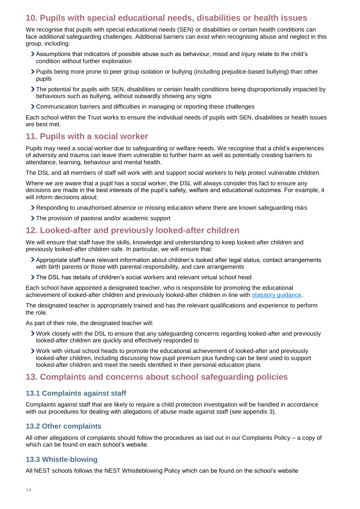# <span id="page-13-0"></span>**10. Pupils with special educational needs, disabilities or health issues**

We recognise that pupils with special educational needs (SEN) or disabilities or certain health conditions can face additional safeguarding challenges. Additional barriers can exist when recognising abuse and neglect in this group, including:

- Assumptions that indicators of possible abuse such as behaviour, mood and injury relate to the child's condition without further exploration
- Pupils being more prone to peer group isolation or bullying (including prejudice-based bullying) than other pupils
- The potential for pupils with SEN, disabilities or certain health conditions being disproportionally impacted by behaviours such as bullying, without outwardly showing any signs
- Communication barriers and difficulties in managing or reporting these challenges

Each school within the Trust works to ensure the individual needs of pupils with SEN, disabilities or health issues are best met.

# <span id="page-13-1"></span>**11. Pupils with a social worker**

Pupils may need a social worker due to safeguarding or welfare needs. We recognise that a child's experiences of adversity and trauma can leave them vulnerable to further harm as well as potentially creating barriers to attendance, learning, behaviour and mental health.

The DSL and all members of staff will work with and support social workers to help protect vulnerable children.

Where we are aware that a pupil has a social worker, the DSL will always consider this fact to ensure any decisions are made in the best interests of the pupil's safety, welfare and educational outcomes. For example, it will inform decisions about:

- Responding to unauthorised absence or missing education where there are known safeguarding risks
- The provision of pastoral and/or academic support

# <span id="page-13-2"></span>**12. Looked-after and previously looked-after children**

We will ensure that staff have the skills, knowledge and understanding to keep looked-after children and previously looked-after children safe. In particular, we will ensure that:

- Appropriate staff have relevant information about children's looked after legal status, contact arrangements with birth parents or those with parental responsibility, and care arrangements
- The DSL has details of children's social workers and relevant virtual school head

Each school have appointed a designated teacher, who is responsible for promoting the educational achievement of looked-after children and previously looked-after children in line with [statutory guidance.](https://www.gov.uk/government/publications/designated-teacher-for-looked-after-children)

The designated teacher is appropriately trained and has the relevant qualifications and experience to perform the role.

As part of their role, the designated teacher will:

- Work closely with the DSL to ensure that any safeguarding concerns regarding looked-after and previously looked-after children are quickly and effectively responded to
- Work with virtual school heads to promote the educational achievement of looked-after and previously looked-after children, including discussing how pupil premium plus funding can be best used to support looked-after children and meet the needs identified in their personal education plans

# <span id="page-13-3"></span>**13. Complaints and concerns about school safeguarding policies**

# **13.1 Complaints against staff**

Complaints against staff that are likely to require a child protection investigation will be handled in accordance with our procedures for dealing with allegations of abuse made against staff (see appendix 3).

# **13.2 Other complaints**

All other allegations of complaints should follow the procedures as laid out in our Complaints Policy – a copy of which can be found on each school's website.

# **13.3 Whistle-blowing**

All NEST schools follows the NEST Whistleblowing Policy which can be found on the school's website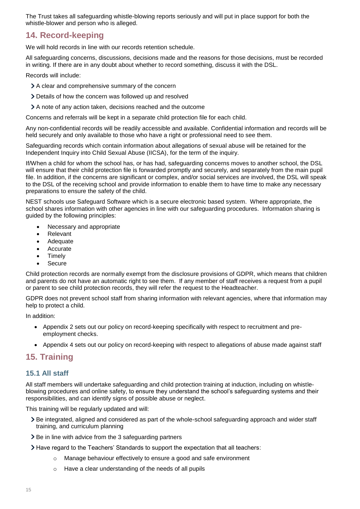The Trust takes all safeguarding whistle-blowing reports seriously and will put in place support for both the whistle-blower and person who is alleged.

# <span id="page-14-0"></span>**14. Record-keeping**

We will hold records in line with our records retention schedule.

All safeguarding concerns, discussions, decisions made and the reasons for those decisions, must be recorded in writing. If there are in any doubt about whether to record something, discuss it with the DSL.

Records will include:

- A clear and comprehensive summary of the concern
- Details of how the concern was followed up and resolved
- A note of any action taken, decisions reached and the outcome

Concerns and referrals will be kept in a separate child protection file for each child.

Any non-confidential records will be readily accessible and available. Confidential information and records will be held securely and only available to those who have a right or professional need to see them.

Safeguarding records which contain information about allegations of sexual abuse will be retained for the Independent Inquiry into Child Sexual Abuse (IICSA), for the term of the inquiry.

If/When a child for whom the school has, or has had, safeguarding concerns moves to another school, the DSL will ensure that their child protection file is forwarded promptly and securely, and separately from the main pupil file. In addition, if the concerns are significant or complex, and/or social services are involved, the DSL will speak to the DSL of the receiving school and provide information to enable them to have time to make any necessary preparations to ensure the safety of the child.

NEST schools use Safeguard Software which is a secure electronic based system. Where appropriate, the school shares information with other agencies in line with our safeguarding procedures. Information sharing is guided by the following principles:

- Necessary and appropriate
- Relevant
- Adequate
- Accurate
- Timely
- Secure

Child protection records are normally exempt from the disclosure provisions of GDPR, which means that children and parents do not have an automatic right to see them. If any member of staff receives a request from a pupil or parent to see child protection records, they will refer the request to the Headteacher.

GDPR does not prevent school staff from sharing information with relevant agencies, where that information may help to protect a child.

In addition:

- Appendix 2 sets out our policy on record-keeping specifically with respect to recruitment and preemployment checks.
- Appendix 4 sets out our policy on record-keeping with respect to allegations of abuse made against staff

# <span id="page-14-1"></span>**15. Training**

# **15.1 All staff**

All staff members will undertake safeguarding and child protection training at induction, including on whistleblowing procedures and online safety, to ensure they understand the school's safeguarding systems and their responsibilities, and can identify signs of possible abuse or neglect.

This training will be regularly updated and will:

- > Be integrated, aligned and considered as part of the whole-school safeguarding approach and wider staff training, and curriculum planning
- > Be in line with advice from the 3 safeguarding partners
- Have regard to the Teachers' Standards to support the expectation that all teachers:
	- o Manage behaviour effectively to ensure a good and safe environment
	- o Have a clear understanding of the needs of all pupils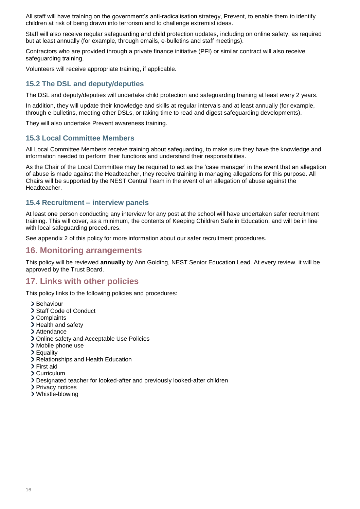All staff will have training on the government's anti-radicalisation strategy, Prevent, to enable them to identify children at risk of being drawn into terrorism and to challenge extremist ideas.

Staff will also receive regular safeguarding and child protection updates, including on online safety, as required but at least annually (for example, through emails, e-bulletins and staff meetings).

Contractors who are provided through a private finance initiative (PFI) or similar contract will also receive safeguarding training.

Volunteers will receive appropriate training, if applicable.

## **15.2 The DSL and deputy/deputies**

The DSL and deputy/deputies will undertake child protection and safeguarding training at least every 2 years.

In addition, they will update their knowledge and skills at regular intervals and at least annually (for example, through e-bulletins, meeting other DSLs, or taking time to read and digest safeguarding developments).

They will also undertake Prevent awareness training.

#### **15.3 Local Committee Members**

All Local Committee Members receive training about safeguarding, to make sure they have the knowledge and information needed to perform their functions and understand their responsibilities.

As the Chair of the Local Committee may be required to act as the 'case manager' in the event that an allegation of abuse is made against the Headteacher, they receive training in managing allegations for this purpose. All Chairs will be supported by the NEST Central Team in the event of an allegation of abuse against the Headteacher.

#### **15.4 Recruitment – interview panels**

At least one person conducting any interview for any post at the school will have undertaken safer recruitment training. This will cover, as a minimum, the contents of Keeping Children Safe in Education, and will be in line with local safeguarding procedures.

See appendix 2 of this policy for more information about our safer recruitment procedures.

# <span id="page-15-0"></span>**16. Monitoring arrangements**

This policy will be reviewed **annually** by Ann Golding, NEST Senior Education Lead. At every review, it will be approved by the Trust Board.

# <span id="page-15-1"></span>**17. Links with other policies**

This policy links to the following policies and procedures:

- > Behaviour
- > Staff Code of Conduct
- Complaints
- > Health and safety
- > Attendance
- Online safety and Acceptable Use Policies
- Mobile phone use
- Equality
- Relationships and Health Education
- > First aid
- Curriculum
- Designated teacher for looked-after and previously looked-after children
- > Privacy notices
- Whistle-blowing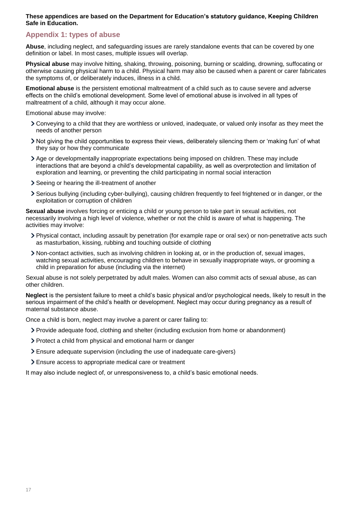#### **These appendices are based on the Department for Education's statutory guidance, Keeping Children Safe in Education.**

# <span id="page-16-0"></span>**Appendix 1: types of abuse**

**Abuse**, including neglect, and safeguarding issues are rarely standalone events that can be covered by one definition or label. In most cases, multiple issues will overlap.

**Physical abuse** may involve hitting, shaking, throwing, poisoning, burning or scalding, drowning, suffocating or otherwise causing physical harm to a child. Physical harm may also be caused when a parent or carer fabricates the symptoms of, or deliberately induces, illness in a child.

**Emotional abuse** is the persistent emotional maltreatment of a child such as to cause severe and adverse effects on the child's emotional development. Some level of emotional abuse is involved in all types of maltreatment of a child, although it may occur alone.

Emotional abuse may involve:

- Conveying to a child that they are worthless or unloved, inadequate, or valued only insofar as they meet the needs of another person
- Not giving the child opportunities to express their views, deliberately silencing them or 'making fun' of what they say or how they communicate
- Age or developmentally inappropriate expectations being imposed on children. These may include interactions that are beyond a child's developmental capability, as well as overprotection and limitation of exploration and learning, or preventing the child participating in normal social interaction
- Seeing or hearing the ill-treatment of another
- Serious bullying (including cyber-bullying), causing children frequently to feel frightened or in danger, or the exploitation or corruption of children

**Sexual abuse** involves forcing or enticing a child or young person to take part in sexual activities, not necessarily involving a high level of violence, whether or not the child is aware of what is happening. The activities may involve:

- Physical contact, including assault by penetration (for example rape or oral sex) or non-penetrative acts such as masturbation, kissing, rubbing and touching outside of clothing
- Non-contact activities, such as involving children in looking at, or in the production of, sexual images, watching sexual activities, encouraging children to behave in sexually inappropriate ways, or grooming a child in preparation for abuse (including via the internet)

Sexual abuse is not solely perpetrated by adult males. Women can also commit acts of sexual abuse, as can other children.

**Neglect** is the persistent failure to meet a child's basic physical and/or psychological needs, likely to result in the serious impairment of the child's health or development. Neglect may occur during pregnancy as a result of maternal substance abuse.

Once a child is born, neglect may involve a parent or carer failing to:

- Provide adequate food, clothing and shelter (including exclusion from home or abandonment)
- Protect a child from physical and emotional harm or danger
- Ensure adequate supervision (including the use of inadequate care-givers)
- Ensure access to appropriate medical care or treatment

It may also include neglect of, or unresponsiveness to, a child's basic emotional needs.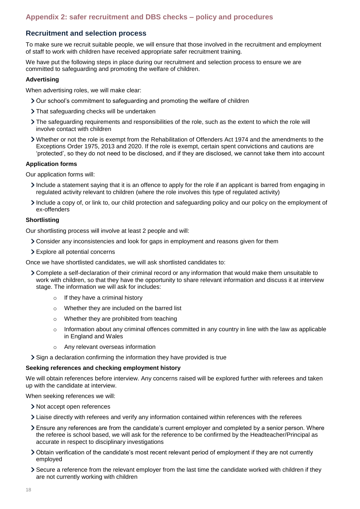## <span id="page-17-0"></span>**Recruitment and selection process**

To make sure we recruit suitable people, we will ensure that those involved in the recruitment and employment of staff to work with children have received appropriate safer recruitment training.

We have put the following steps in place during our recruitment and selection process to ensure we are committed to safeguarding and promoting the welfare of children.

#### **Advertising**

When advertising roles, we will make clear:

- Our school's commitment to safeguarding and promoting the welfare of children
- > That safequarding checks will be undertaken
- The safeguarding requirements and responsibilities of the role, such as the extent to which the role will involve contact with children
- Whether or not the role is exempt from the Rehabilitation of Offenders Act 1974 and the amendments to the Exceptions Order 1975, 2013 and 2020. If the role is exempt, certain spent convictions and cautions are 'protected', so they do not need to be disclosed, and if they are disclosed, we cannot take them into account

#### **Application forms**

Our application forms will:

- Include a statement saying that it is an offence to apply for the role if an applicant is barred from engaging in regulated activity relevant to children (where the role involves this type of regulated activity)
- Include a copy of, or link to, our child protection and safeguarding policy and our policy on the employment of ex-offenders

#### **Shortlisting**

Our shortlisting process will involve at least 2 people and will:

- Consider any inconsistencies and look for gaps in employment and reasons given for them
- Explore all potential concerns

Once we have shortlisted candidates, we will ask shortlisted candidates to:

- Complete a self-declaration of their criminal record or any information that would make them unsuitable to work with children, so that they have the opportunity to share relevant information and discuss it at interview stage. The information we will ask for includes:
	- o If they have a criminal history
	- o Whether they are included on the barred list
	- o Whether they are prohibited from teaching
	- $\circ$  Information about any criminal offences committed in any country in line with the law as applicable in England and Wales
	- o Any relevant overseas information

Sign a declaration confirming the information they have provided is true

#### **Seeking references and checking employment history**

We will obtain references before interview. Any concerns raised will be explored further with referees and taken up with the candidate at interview.

When seeking references we will:

- > Not accept open references
- Liaise directly with referees and verify any information contained within references with the referees
- Ensure any references are from the candidate's current employer and completed by a senior person. Where the referee is school based, we will ask for the reference to be confirmed by the Headteacher/Principal as accurate in respect to disciplinary investigations
- Obtain verification of the candidate's most recent relevant period of employment if they are not currently employed
- Secure a reference from the relevant employer from the last time the candidate worked with children if they are not currently working with children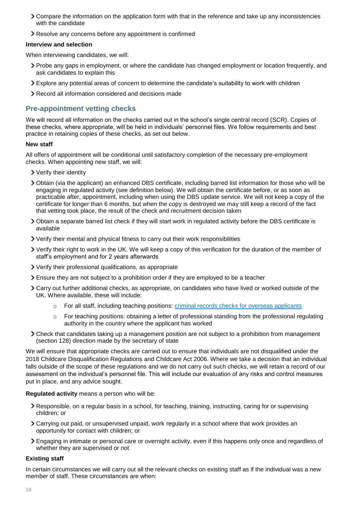- Compare the information on the application form with that in the reference and take up any inconsistencies with the candidate
- Resolve any concerns before any appointment is confirmed

#### **Interview and selection**

When interviewing candidates, we will:

- Probe any gaps in employment, or where the candidate has changed employment or location frequently, and ask candidates to explain this
- Explore any potential areas of concern to determine the candidate's suitability to work with children
- Record all information considered and decisions made

## **Pre-appointment vetting checks**

We will record all information on the checks carried out in the school's single central record (SCR). Copies of these checks, where appropriate, will be held in individuals' personnel files. We follow requirements and best practice in retaining copies of these checks, as set out below.

#### **New staff**

All offers of appointment will be conditional until satisfactory completion of the necessary pre-employment checks. When appointing new staff, we will:

- Verify their identity
- Obtain (via the applicant) an enhanced DBS certificate, including barred list information for those who will be engaging in regulated activity (see definition below). We will obtain the certificate before, or as soon as practicable after, appointment, including when using the DBS update service. We will not keep a copy of the certificate for longer than 6 months, but when the copy is destroyed we may still keep a record of the fact that vetting took place, the result of the check and recruitment decision taken
- Obtain a separate barred list check if they will start work in regulated activity before the DBS certificate is available
- Verify their mental and physical fitness to carry out their work responsibilities
- Verify their right to work in the UK. We will keep a copy of this verification for the duration of the member of staff's employment and for 2 years afterwards
- Verify their professional qualifications, as appropriate
- Ensure they are not subject to a prohibition order if they are employed to be a teacher
- Carry out further additional checks, as appropriate, on candidates who have lived or worked outside of the UK. Where available, these will include:
	- $\circ$  For all staff, including teaching positions: [criminal records checks for overseas applicants](https://www.gov.uk/government/publications/criminal-records-checks-for-overseas-applicants)
	- $\circ$  For teaching positions: obtaining a letter of professional standing from the professional regulating authority in the country where the applicant has worked
- Check that candidates taking up a management position are not subject to a prohibition from management (section 128) direction made by the secretary of state

We will ensure that appropriate checks are carried out to ensure that individuals are not disqualified under the 2018 Childcare Disqualification Regulations and Childcare Act 2006. Where we take a decision that an individual falls outside of the scope of these regulations and we do not carry out such checks, we will retain a record of our assessment on the individual's personnel file. This will include our evaluation of any risks and control measures put in place, and any advice sought.

#### **Regulated activity** means a person who will be:

- Responsible, on a regular basis in a school, for teaching, training, instructing, caring for or supervising children; or
- Carrying out paid, or unsupervised unpaid, work regularly in a school where that work provides an opportunity for contact with children; or
- Engaging in intimate or personal care or overnight activity, even if this happens only once and regardless of whether they are supervised or not

#### **Existing staff**

In certain circumstances we will carry out all the relevant checks on existing staff as if the individual was a new member of staff. These circumstances are when: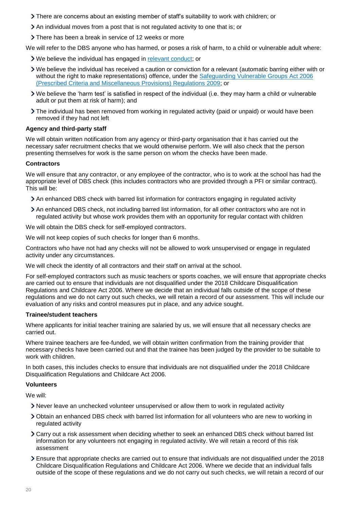- There are concerns about an existing member of staff's suitability to work with children; or
- $\geq$  An individual moves from a post that is not regulated activity to one that is; or
- There has been a break in service of 12 weeks or more

We will refer to the DBS anyone who has harmed, or poses a risk of harm, to a child or vulnerable adult where:

- We believe the individual has engaged in [relevant conduct;](https://www.gov.uk/guidance/making-barring-referrals-to-the-dbs#relevant-conduct-in-relation-to-children) or
- We believe the individual has received a caution or conviction for a relevant (automatic barring either with or without the right to make representations) offence, under the Safeguarding Vulnerable Groups Act 2006 [\(Prescribed Criteria and Miscellaneous Provisions\) Regulations 2009;](http://www.legislation.gov.uk/uksi/2009/37/contents/made) or
- We believe the 'harm test' is satisfied in respect of the individual (i.e. they may harm a child or vulnerable adult or put them at risk of harm); and
- The individual has been removed from working in regulated activity (paid or unpaid) or would have been removed if they had not left

#### **Agency and third-party staff**

We will obtain written notification from any agency or third-party organisation that it has carried out the necessary safer recruitment checks that we would otherwise perform. We will also check that the person presenting themselves for work is the same person on whom the checks have been made.

#### **Contractors**

We will ensure that any contractor, or any employee of the contractor, who is to work at the school has had the appropriate level of DBS check (this includes contractors who are provided through a PFI or similar contract). This will be:

- An enhanced DBS check with barred list information for contractors engaging in regulated activity
- An enhanced DBS check, not including barred list information, for all other contractors who are not in regulated activity but whose work provides them with an opportunity for regular contact with children

We will obtain the DBS check for self-employed contractors.

We will not keep copies of such checks for longer than 6 months.

Contractors who have not had any checks will not be allowed to work unsupervised or engage in regulated activity under any circumstances.

We will check the identity of all contractors and their staff on arrival at the school.

For self-employed contractors such as music teachers or sports coaches, we will ensure that appropriate checks are carried out to ensure that individuals are not disqualified under the 2018 Childcare Disqualification Regulations and Childcare Act 2006. Where we decide that an individual falls outside of the scope of these regulations and we do not carry out such checks, we will retain a record of our assessment. This will include our evaluation of any risks and control measures put in place, and any advice sought.

#### **Trainee/student teachers**

Where applicants for initial teacher training are salaried by us, we will ensure that all necessary checks are carried out.

Where trainee teachers are fee-funded, we will obtain written confirmation from the training provider that necessary checks have been carried out and that the trainee has been judged by the provider to be suitable to work with children.

In both cases, this includes checks to ensure that individuals are not disqualified under the 2018 Childcare Disqualification Regulations and Childcare Act 2006.

#### **Volunteers**

We will:

- Never leave an unchecked volunteer unsupervised or allow them to work in regulated activity
- Obtain an enhanced DBS check with barred list information for all volunteers who are new to working in regulated activity
- Carry out a risk assessment when deciding whether to seek an enhanced DBS check without barred list information for any volunteers not engaging in regulated activity. We will retain a record of this risk assessment
- Ensure that appropriate checks are carried out to ensure that individuals are not disqualified under the 2018 Childcare Disqualification Regulations and Childcare Act 2006. Where we decide that an individual falls outside of the scope of these regulations and we do not carry out such checks, we will retain a record of our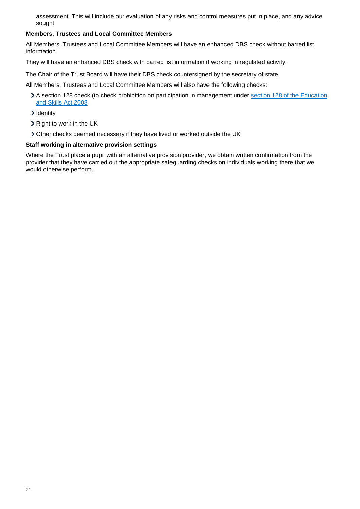assessment. This will include our evaluation of any risks and control measures put in place, and any advice sought

#### **Members, Trustees and Local Committee Members**

All Members, Trustees and Local Committee Members will have an enhanced DBS check without barred list information.

They will have an enhanced DBS check with barred list information if working in regulated activity.

The Chair of the Trust Board will have their DBS check countersigned by the secretary of state.

All Members, Trustees and Local Committee Members will also have the following checks:

- A section 128 check (to check prohibition on participation in management under [section 128 of the Education](https://www.legislation.gov.uk/ukpga/2008/25/section/128)  [and Skills Act 2008](https://www.legislation.gov.uk/ukpga/2008/25/section/128)
- > Identity
- > Right to work in the UK
- Other checks deemed necessary if they have lived or worked outside the UK

#### **Staff working in alternative provision settings**

Where the Trust place a pupil with an alternative provision provider, we obtain written confirmation from the provider that they have carried out the appropriate safeguarding checks on individuals working there that we would otherwise perform.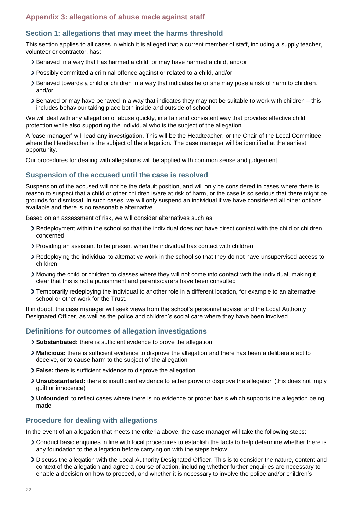# <span id="page-21-0"></span>**Appendix 3: allegations of abuse made against staff**

## **Section 1: allegations that may meet the harms threshold**

This section applies to all cases in which it is alleged that a current member of staff, including a supply teacher, volunteer or contractor, has:

- Behaved in a way that has harmed a child, or may have harmed a child, and/or
- Possibly committed a criminal offence against or related to a child, and/or
- Behaved towards a child or children in a way that indicates he or she may pose a risk of harm to children, and/or
- Behaved or may have behaved in a way that indicates they may not be suitable to work with children this includes behaviour taking place both inside and outside of school

We will deal with any allegation of abuse quickly, in a fair and consistent way that provides effective child protection while also supporting the individual who is the subject of the allegation.

A 'case manager' will lead any investigation. This will be the Headteacher, or the Chair of the Local Committee where the Headteacher is the subject of the allegation. The case manager will be identified at the earliest opportunity.

Our procedures for dealing with allegations will be applied with common sense and judgement.

## **Suspension of the accused until the case is resolved**

Suspension of the accused will not be the default position, and will only be considered in cases where there is reason to suspect that a child or other children is/are at risk of harm, or the case is so serious that there might be grounds for dismissal. In such cases, we will only suspend an individual if we have considered all other options available and there is no reasonable alternative.

Based on an assessment of risk, we will consider alternatives such as:

- Redeployment within the school so that the individual does not have direct contact with the child or children concerned
- Providing an assistant to be present when the individual has contact with children
- Redeploying the individual to alternative work in the school so that they do not have unsupervised access to children
- Moving the child or children to classes where they will not come into contact with the individual, making it clear that this is not a punishment and parents/carers have been consulted
- Temporarily redeploying the individual to another role in a different location, for example to an alternative school or other work for the Trust.

If in doubt, the case manager will seek views from the school's personnel adviser and the Local Authority Designated Officer, as well as the police and children's social care where they have been involved.

# **Definitions for outcomes of allegation investigations**

- **Substantiated:** there is sufficient evidence to prove the allegation
- **Malicious:** there is sufficient evidence to disprove the allegation and there has been a deliberate act to deceive, or to cause harm to the subject of the allegation
- **False:** there is sufficient evidence to disprove the allegation
- **Unsubstantiated:** there is insufficient evidence to either prove or disprove the allegation (this does not imply guilt or innocence)
- **Unfounded**: to reflect cases where there is no evidence or proper basis which supports the allegation being made

#### **Procedure for dealing with allegations**

In the event of an allegation that meets the criteria above, the case manager will take the following steps:

- Conduct basic enquiries in line with local procedures to establish the facts to help determine whether there is any foundation to the allegation before carrying on with the steps below
- Discuss the allegation with the Local Authority Designated Officer. This is to consider the nature, content and context of the allegation and agree a course of action, including whether further enquiries are necessary to enable a decision on how to proceed, and whether it is necessary to involve the police and/or children's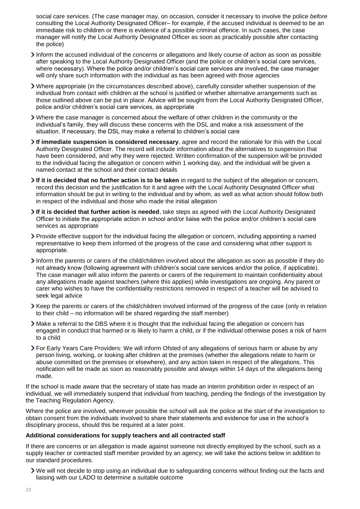social care services. (The case manager may, on occasion, consider it necessary to involve the police *before* consulting the Local Authority Designated Officer– for example, if the accused individual is deemed to be an immediate risk to children or there is evidence of a possible criminal offence. In such cases, the case manager will notify the Local Authority Designated Officer as soon as practicably possible after contacting the police)

- Inform the accused individual of the concerns or allegations and likely course of action as soon as possible after speaking to the Local Authority Designated Officer (and the police or children's social care services, where necessary). Where the police and/or children's social care services are involved, the case manager will only share such information with the individual as has been agreed with those agencies
- Where appropriate (in the circumstances described above), carefully consider whether suspension of the individual from contact with children at the school is justified or whether alternative arrangements such as those outlined above can be put in place. Advice will be sought from the Local Authority Designated Officer, police and/or children's social care services, as appropriate
- Where the case manager is concerned about the welfare of other children in the community or the individual's family, they will discuss these concerns with the DSL and make a risk assessment of the situation. If necessary, the DSL may make a referral to children's social care
- **If immediate suspension is considered necessary**, agree and record the rationale for this with the Local Authority Designated Officer. The record will include information about the alternatives to suspension that have been considered, and why they were rejected. Written confirmation of the suspension will be provided to the individual facing the allegation or concern within 1 working day, and the individual will be given a named contact at the school and their contact details
- **If it is decided that no further action is to be taken** in regard to the subject of the allegation or concern, record this decision and the justification for it and agree with the Local Authority Designated Officer what information should be put in writing to the individual and by whom, as well as what action should follow both in respect of the individual and those who made the initial allegation
- **If it is decided that further action is needed**, take steps as agreed with the Local Authority Designated Officer to initiate the appropriate action in school and/or liaise with the police and/or children's social care services as appropriate
- Provide effective support for the individual facing the allegation or concern, including appointing a named representative to keep them informed of the progress of the case and considering what other support is appropriate.
- Inform the parents or carers of the child/children involved about the allegation as soon as possible if they do not already know (following agreement with children's social care services and/or the police, if applicable). The case manager will also inform the parents or carers of the requirement to maintain confidentiality about any allegations made against teachers (where this applies) while investigations are ongoing. Any parent or carer who wishes to have the confidentiality restrictions removed in respect of a teacher will be advised to seek legal advice
- Keep the parents or carers of the child/children involved informed of the progress of the case (only in relation to their child – no information will be shared regarding the staff member)
- Make a referral to the DBS where it is thought that the individual facing the allegation or concern has engaged in conduct that harmed or is likely to harm a child, or if the individual otherwise poses a risk of harm to a child
- For Early Years Care Providers: We will inform Ofsted of any allegations of serious harm or abuse by any person living, working, or looking after children at the premises (whether the allegations relate to harm or abuse committed on the premises or elsewhere), and any action taken in respect of the allegations. This notification will be made as soon as reasonably possible and always within 14 days of the allegations being made.

If the school is made aware that the secretary of state has made an interim prohibition order in respect of an individual, we will immediately suspend that individual from teaching, pending the findings of the investigation by the Teaching Regulation Agency.

Where the police are involved, wherever possible the school will ask the police at the start of the investigation to obtain consent from the individuals involved to share their statements and evidence for use in the school's disciplinary process, should this be required at a later point.

#### **Additional considerations for supply teachers and all contracted staff**

If there are concerns or an allegation is made against someone not directly employed by the school, such as a supply teacher or contracted staff member provided by an agency, we will take the actions below in addition to our standard procedures.

We will not decide to stop using an individual due to safeguarding concerns without finding out the facts and liaising with our LADO to determine a suitable outcome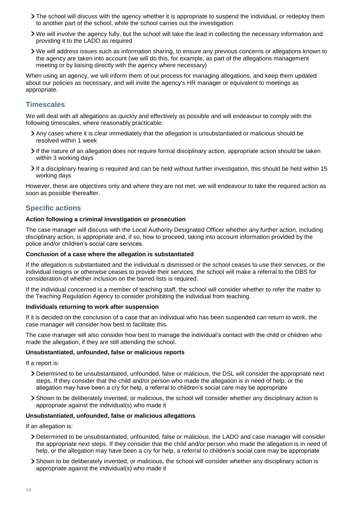- The school will discuss with the agency whether it is appropriate to suspend the individual, or redeploy them to another part of the school, while the school carries out the investigation
- We will involve the agency fully, but the school will take the lead in collecting the necessary information and providing it to the LADO as required
- We will address issues such as information sharing, to ensure any previous concerns or allegations known to the agency are taken into account (we will do this, for example, as part of the allegations management meeting or by liaising directly with the agency where necessary)

When using an agency, we will inform them of our process for managing allegations, and keep them updated about our policies as necessary, and will invite the agency's HR manager or equivalent to meetings as appropriate.

#### **Timescales**

We will deal with all allegations as quickly and effectively as possible and will endeavour to comply with the following timescales, where reasonably practicable:

- Any cases where it is clear immediately that the allegation is unsubstantiated or malicious should be resolved within 1 week
- If the nature of an allegation does not require formal disciplinary action, appropriate action should be taken within 3 working days
- If a disciplinary hearing is required and can be held without further investigation, this should be held within 15 working days

However, these are objectives only and where they are not met, we will endeavour to take the required action as soon as possible thereafter.

## **Specific actions**

#### **Action following a criminal investigation or prosecution**

The case manager will discuss with the Local Authority Designated Officer whether any further action, including disciplinary action, is appropriate and, if so, how to proceed, taking into account information provided by the police and/or children's social care services.

#### **Conclusion of a case where the allegation is substantiated**

If the allegation is substantiated and the individual is dismissed or the school ceases to use their services, or the individual resigns or otherwise ceases to provide their services, the school will make a referral to the DBS for consideration of whether inclusion on the barred lists is required.

If the individual concerned is a member of teaching staff, the school will consider whether to refer the matter to the Teaching Regulation Agency to consider prohibiting the individual from teaching.

#### **Individuals returning to work after suspension**

If it is decided on the conclusion of a case that an individual who has been suspended can return to work, the case manager will consider how best to facilitate this.

The case manager will also consider how best to manage the individual's contact with the child or children who made the allegation, if they are still attending the school.

#### **Unsubstantiated, unfounded, false or malicious reports**

If a report is:

- Determined to be unsubstantiated, unfounded, false or malicious, the DSL will consider the appropriate next steps. If they consider that the child and/or person who made the allegation is in need of help, or the allegation may have been a cry for help, a referral to children's social care may be appropriate
- Shown to be deliberately invented, or malicious, the school will consider whether any disciplinary action is appropriate against the individual(s) who made it

#### **Unsubstantiated, unfounded, false or malicious allegations**

If an allegation is:

- Determined to be unsubstantiated, unfounded, false or malicious, the LADO and case manager will consider the appropriate next steps. If they consider that the child and/or person who made the allegation is in need of help, or the allegation may have been a cry for help, a referral to children's social care may be appropriate
- Shown to be deliberately invented, or malicious, the school will consider whether any disciplinary action is appropriate against the individual(s) who made it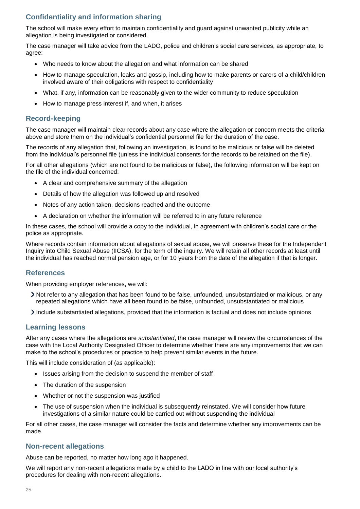# **Confidentiality and information sharing**

The school will make every effort to maintain confidentiality and guard against unwanted publicity while an allegation is being investigated or considered.

The case manager will take advice from the LADO, police and children's social care services, as appropriate, to agree:

- Who needs to know about the allegation and what information can be shared
- How to manage speculation, leaks and gossip, including how to make parents or carers of a child/children involved aware of their obligations with respect to confidentiality
- What, if any, information can be reasonably given to the wider community to reduce speculation
- How to manage press interest if, and when, it arises

## **Record-keeping**

The case manager will maintain clear records about any case where the allegation or concern meets the criteria above and store them on the individual's confidential personnel file for the duration of the case.

The records of any allegation that, following an investigation, is found to be malicious or false will be deleted from the individual's personnel file (unless the individual consents for the records to be retained on the file).

For all other allegations (which are not found to be malicious or false), the following information will be kept on the file of the individual concerned:

- A clear and comprehensive summary of the allegation
- Details of how the allegation was followed up and resolved
- Notes of any action taken, decisions reached and the outcome
- A declaration on whether the information will be referred to in any future reference

In these cases, the school will provide a copy to the individual, in agreement with children's social care or the police as appropriate.

Where records contain information about allegations of sexual abuse, we will preserve these for the Independent Inquiry into Child Sexual Abuse (IICSA), for the term of the inquiry. We will retain all other records at least until the individual has reached normal pension age, or for 10 years from the date of the allegation if that is longer.

#### **References**

When providing employer references, we will:

- Not refer to any allegation that has been found to be false, unfounded, unsubstantiated or malicious, or any repeated allegations which have all been found to be false, unfounded, unsubstantiated or malicious
- Include substantiated allegations, provided that the information is factual and does not include opinions

#### **Learning lessons**

After any cases where the allegations are *substantiated*, the case manager will review the circumstances of the case with the Local Authority Designated Officer to determine whether there are any improvements that we can make to the school's procedures or practice to help prevent similar events in the future.

This will include consideration of (as applicable):

- Issues arising from the decision to suspend the member of staff
- The duration of the suspension
- Whether or not the suspension was justified
- The use of suspension when the individual is subsequently reinstated. We will consider how future investigations of a similar nature could be carried out without suspending the individual

For all other cases, the case manager will consider the facts and determine whether any improvements can be made.

#### **Non-recent allegations**

Abuse can be reported, no matter how long ago it happened.

We will report any non-recent allegations made by a child to the LADO in line with our local authority's procedures for dealing with non-recent allegations.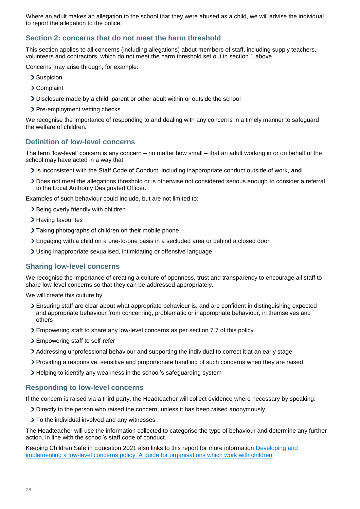Where an adult makes an allegation to the school that they were abused as a child, we will advise the individual to report the allegation to the police.

## **Section 2: concerns that do not meet the harm threshold**

This section applies to all concerns (including allegations) about members of staff, including supply teachers, volunteers and contractors, which do not meet the harm threshold set out in section 1 above.

Concerns may arise through, for example:

- > Suspicion
- Complaint
- Disclosure made by a child, parent or other adult within or outside the school
- > Pre-employment vetting checks

We recognise the importance of responding to and dealing with any concerns in a timely manner to safeguard the welfare of children.

#### **Definition of low-level concerns**

The term 'low-level' concern is any concern – no matter how small – that an adult working in or on behalf of the school may have acted in a way that:

- Is inconsistent with the Staff Code of Conduct, including inappropriate conduct outside of work, **and**
- Does not meet the allegations threshold or is otherwise not considered serious enough to consider a referral to the Local Authority Designated Officer.

Examples of such behaviour could include, but are not limited to:

- > Being overly friendly with children
- > Having favourites
- Taking photographs of children on their mobile phone
- Engaging with a child on a one-to-one basis in a secluded area or behind a closed door
- Using inappropriate sexualised, intimidating or offensive language

#### **Sharing low-level concerns**

We recognise the importance of creating a culture of openness, trust and transparency to encourage all staff to share low-level concerns so that they can be addressed appropriately.

We will create this culture by:

- Ensuring staff are clear about what appropriate behaviour is, and are confident in distinguishing expected and appropriate behaviour from concerning, problematic or inappropriate behaviour, in themselves and others
- Empowering staff to share any low-level concerns as per section 7.7 of this policy
- Empowering staff to self-refer
- Addressing unprofessional behaviour and supporting the individual to correct it at an early stage
- Providing a responsive, sensitive and proportionate handling of such concerns when they are raised
- > Helping to identify any weakness in the school's safeguarding system

#### **Responding to low-level concerns**

If the concern is raised via a third party, the Headteacher will collect evidence where necessary by speaking:

- Directly to the person who raised the concern, unless it has been raised anonymously
- > To the individual involved and any witnesses

The Headteacher will use the information collected to categorise the type of behaviour and determine any further action, in line with the school's staff code of conduct.

Keeping Children Safe in Education 2021 also links to this report for more information [Developing and](https://www.farrer.co.uk/news-and-insights/developing-and-implementing-a-low-level-concerns-policy-a-guide-for-organisations-which-work-with-children/)  [implementing a low-level concerns policy: A guide for organisations which work with children](https://www.farrer.co.uk/news-and-insights/developing-and-implementing-a-low-level-concerns-policy-a-guide-for-organisations-which-work-with-children/)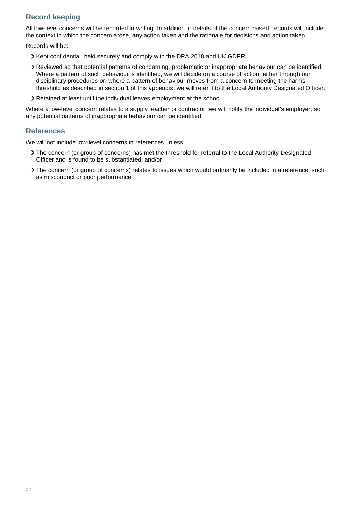# **Record keeping**

All low-level concerns will be recorded in writing. In addition to details of the concern raised, records will include the context in which the concern arose, any action taken and the rationale for decisions and action taken.

Records will be:

- Kept confidential, held securely and comply with the DPA 2018 and UK GDPR
- Reviewed so that potential patterns of concerning, problematic or inappropriate behaviour can be identified. Where a pattern of such behaviour is identified, we will decide on a course of action, either through our disciplinary procedures or, where a pattern of behaviour moves from a concern to meeting the harms threshold as described in section 1 of this appendix, we will refer it to the Local Authority Designated Officer.
- Retained at least until the individual leaves employment at the school

Where a low-level concern relates to a supply teacher or contractor, we will notify the individual's employer, so any potential patterns of inappropriate behaviour can be identified.

#### **References**

We will not include low-level concerns in references unless:

- The concern (or group of concerns) has met the threshold for referral to the Local Authority Designated Officer and is found to be substantiated; and/or
- The concern (or group of concerns) relates to issues which would ordinarily be included in a reference, such as misconduct or poor performance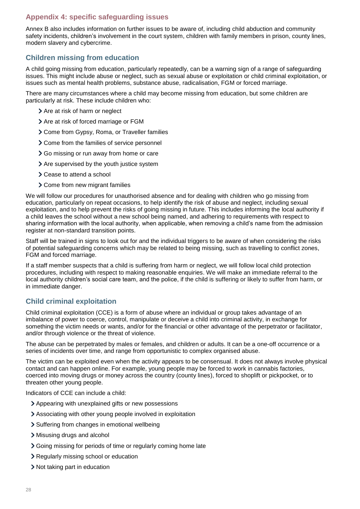# <span id="page-27-0"></span>**Appendix 4: specific safeguarding issues**

Annex B also includes information on further issues to be aware of, including child abduction and community safety incidents, children's involvement in the court system, children with family members in prison, county lines, modern slavery and cybercrime.

## **Children missing from education**

A child going missing from education, particularly repeatedly, can be a warning sign of a range of safeguarding issues. This might include abuse or neglect, such as sexual abuse or exploitation or child criminal exploitation, or issues such as mental health problems, substance abuse, radicalisation, FGM or forced marriage.

There are many circumstances where a child may become missing from education, but some children are particularly at risk. These include children who:

- > Are at risk of harm or neglect
- > Are at risk of forced marriage or FGM
- Come from Gypsy, Roma, or Traveller families
- Come from the families of service personnel
- Go missing or run away from home or care
- > Are supervised by the youth justice system
- > Cease to attend a school
- Come from new migrant families

We will follow our procedures for unauthorised absence and for dealing with children who go missing from education, particularly on repeat occasions, to help identify the risk of abuse and neglect, including sexual exploitation, and to help prevent the risks of going missing in future. This includes informing the local authority if a child leaves the school without a new school being named, and adhering to requirements with respect to sharing information with the local authority, when applicable, when removing a child's name from the admission register at non-standard transition points.

Staff will be trained in signs to look out for and the individual triggers to be aware of when considering the risks of potential safeguarding concerns which may be related to being missing, such as travelling to conflict zones, FGM and forced marriage.

If a staff member suspects that a child is suffering from harm or neglect, we will follow local child protection procedures, including with respect to making reasonable enquiries. We will make an immediate referral to the local authority children's social care team, and the police, if the child is suffering or likely to suffer from harm, or in immediate danger.

# **Child criminal exploitation**

Child criminal exploitation (CCE) is a form of abuse where an individual or group takes advantage of an imbalance of power to coerce, control, manipulate or deceive a child into criminal activity, in exchange for something the victim needs or wants, and/or for the financial or other advantage of the perpetrator or facilitator, and/or through violence or the threat of violence.

The abuse can be perpetrated by males or females, and children or adults. It can be a one-off occurrence or a series of incidents over time, and range from opportunistic to complex organised abuse.

The victim can be exploited even when the activity appears to be consensual. It does not always involve physical contact and can happen online. For example, young people may be forced to work in cannabis factories, coerced into moving drugs or money across the country (county lines), forced to shoplift or pickpocket, or to threaten other young people.

Indicators of CCE can include a child:

- Appearing with unexplained gifts or new possessions
- Associating with other young people involved in exploitation
- > Suffering from changes in emotional wellbeing
- Misusing drugs and alcohol
- Going missing for periods of time or regularly coming home late
- Regularly missing school or education
- Not taking part in education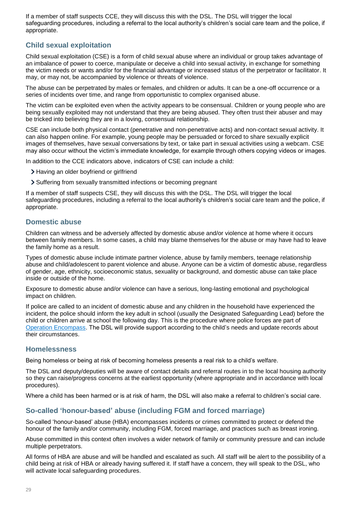If a member of staff suspects CCE, they will discuss this with the DSL. The DSL will trigger the local safeguarding procedures, including a referral to the local authority's children's social care team and the police, if appropriate.

# **Child sexual exploitation**

Child sexual exploitation (CSE) is a form of child sexual abuse where an individual or group takes advantage of an imbalance of power to coerce, manipulate or deceive a child into sexual activity, in exchange for something the victim needs or wants and/or for the financial advantage or increased status of the perpetrator or facilitator. It may, or may not, be accompanied by violence or threats of violence.

The abuse can be perpetrated by males or females, and children or adults. It can be a one-off occurrence or a series of incidents over time, and range from opportunistic to complex organised abuse.

The victim can be exploited even when the activity appears to be consensual. Children or young people who are being sexually exploited may not understand that they are being abused. They often trust their abuser and may be tricked into believing they are in a loving, consensual relationship.

CSE can include both physical contact (penetrative and non-penetrative acts) and non-contact sexual activity. It can also happen online. For example, young people may be persuaded or forced to share sexually explicit images of themselves, have sexual conversations by text, or take part in sexual activities using a webcam. CSE may also occur without the victim's immediate knowledge, for example through others copying videos or images.

In addition to the CCE indicators above, indicators of CSE can include a child:

- > Having an older boyfriend or girlfriend
- Suffering from sexually transmitted infections or becoming pregnant

If a member of staff suspects CSE, they will discuss this with the DSL. The DSL will trigger the local safeguarding procedures, including a referral to the local authority's children's social care team and the police, if appropriate.

## **Domestic abuse**

Children can witness and be adversely affected by domestic abuse and/or violence at home where it occurs between family members. In some cases, a child may blame themselves for the abuse or may have had to leave the family home as a result.

Types of domestic abuse include intimate partner violence, abuse by family members, teenage relationship abuse and child/adolescent to parent violence and abuse. Anyone can be a victim of domestic abuse, regardless of gender, age, ethnicity, socioeconomic status, sexuality or background, and domestic abuse can take place inside or outside of the home.

Exposure to domestic abuse and/or violence can have a serious, long-lasting emotional and psychological impact on children.

If police are called to an incident of domestic abuse and any children in the household have experienced the incident, the police should inform the key adult in school (usually the Designated Safeguarding Lead) before the child or children arrive at school the following day. This is the procedure where police forces are part of [Operation Encompass.](https://www.operationencompass.org/) The DSL will provide support according to the child's needs and update records about their circumstances.

# **Homelessness**

Being homeless or being at risk of becoming homeless presents a real risk to a child's welfare.

The DSL and deputy/deputies will be aware of contact details and referral routes in to the local housing authority so they can raise/progress concerns at the earliest opportunity (where appropriate and in accordance with local procedures).

Where a child has been harmed or is at risk of harm, the DSL will also make a referral to children's social care.

# **So-called 'honour-based' abuse (including FGM and forced marriage)**

So-called 'honour-based' abuse (HBA) encompasses incidents or crimes committed to protect or defend the honour of the family and/or community, including FGM, forced marriage, and practices such as breast ironing.

Abuse committed in this context often involves a wider network of family or community pressure and can include multiple perpetrators.

All forms of HBA are abuse and will be handled and escalated as such. All staff will be alert to the possibility of a child being at risk of HBA or already having suffered it. If staff have a concern, they will speak to the DSL, who will activate local safeguarding procedures.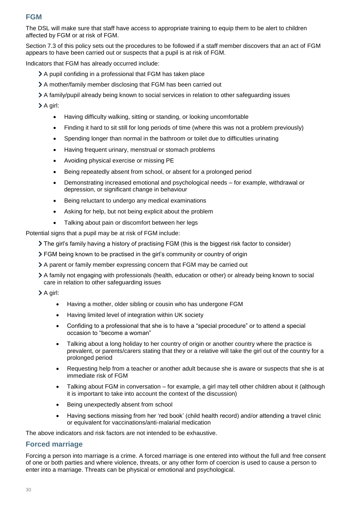# **FGM**

The DSL will make sure that staff have access to appropriate training to equip them to be alert to children affected by FGM or at risk of FGM.

Section 7.3 of this policy sets out the procedures to be followed if a staff member discovers that an act of FGM appears to have been carried out or suspects that a pupil is at risk of FGM.

Indicators that FGM has already occurred include:

- A pupil confiding in a professional that FGM has taken place
- A mother/family member disclosing that FGM has been carried out
- A family/pupil already being known to social services in relation to other safeguarding issues

A girl:

- Having difficulty walking, sitting or standing, or looking uncomfortable
- Finding it hard to sit still for long periods of time (where this was not a problem previously)
- Spending longer than normal in the bathroom or toilet due to difficulties urinating
- Having frequent urinary, menstrual or stomach problems
- Avoiding physical exercise or missing PE
- Being repeatedly absent from school, or absent for a prolonged period
- Demonstrating increased emotional and psychological needs for example, withdrawal or depression, or significant change in behaviour
- Being reluctant to undergo any medical examinations
- Asking for help, but not being explicit about the problem
- Talking about pain or discomfort between her legs

Potential signs that a pupil may be at risk of FGM include:

The girl's family having a history of practising FGM (this is the biggest risk factor to consider)

- FGM being known to be practised in the girl's community or country of origin
- A parent or family member expressing concern that FGM may be carried out
- A family not engaging with professionals (health, education or other) or already being known to social care in relation to other safeguarding issues

A girl:

- Having a mother, older sibling or cousin who has undergone FGM
- Having limited level of integration within UK society
- Confiding to a professional that she is to have a "special procedure" or to attend a special occasion to "become a woman"
- Talking about a long holiday to her country of origin or another country where the practice is prevalent, or parents/carers stating that they or a relative will take the girl out of the country for a prolonged period
- Requesting help from a teacher or another adult because she is aware or suspects that she is at immediate risk of FGM
- Talking about FGM in conversation for example, a girl may tell other children about it (although it is important to take into account the context of the discussion)
- Being unexpectedly absent from school
- Having sections missing from her 'red book' (child health record) and/or attending a travel clinic or equivalent for vaccinations/anti-malarial medication

The above indicators and risk factors are not intended to be exhaustive.

#### **Forced marriage**

Forcing a person into marriage is a crime. A forced marriage is one entered into without the full and free consent of one or both parties and where violence, threats, or any other form of coercion is used to cause a person to enter into a marriage. Threats can be physical or emotional and psychological.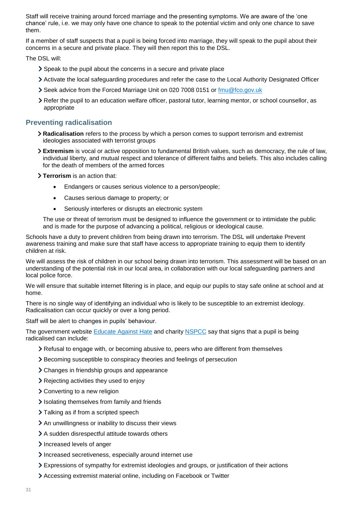Staff will receive training around forced marriage and the presenting symptoms. We are aware of the 'one chance' rule, i.e. we may only have one chance to speak to the potential victim and only one chance to save them.

If a member of staff suspects that a pupil is being forced into marriage, they will speak to the pupil about their concerns in a secure and private place. They will then report this to the DSL.

The DSL will:

- Speak to the pupil about the concerns in a secure and private place
- Activate the local safeguarding procedures and refer the case to the Local Authority Designated Officer
- Seek advice from the Forced Marriage Unit on 020 7008 0151 or [fmu@fco.gov.uk](mailto:fmu@fco.gov.uk)
- Refer the pupil to an education welfare officer, pastoral tutor, learning mentor, or school counsellor, as appropriate

## **Preventing radicalisation**

- **Radicalisation** refers to the process by which a person comes to support terrorism and extremist ideologies associated with terrorist groups
- **Extremism** is vocal or active opposition to fundamental British values, such as democracy, the rule of law, individual liberty, and mutual respect and tolerance of different faiths and beliefs. This also includes calling for the death of members of the armed forces

**Terrorism** is an action that:

- Endangers or causes serious violence to a person/people;
- Causes serious damage to property; or
- Seriously interferes or disrupts an electronic system

The use or threat of terrorism must be designed to influence the government or to intimidate the public and is made for the purpose of advancing a political, religious or ideological cause.

Schools have a duty to prevent children from being drawn into terrorism. The DSL will undertake Prevent awareness training and make sure that staff have access to appropriate training to equip them to identify children at risk.

We will assess the risk of children in our school being drawn into terrorism. This assessment will be based on an understanding of the potential risk in our local area, in collaboration with our local safeguarding partners and local police force.

We will ensure that suitable internet filtering is in place, and equip our pupils to stay safe online at school and at home.

There is no single way of identifying an individual who is likely to be susceptible to an extremist ideology. Radicalisation can occur quickly or over a long period.

Staff will be alert to changes in pupils' behaviour.

The government website [Educate Against](http://educateagainsthate.com/parents/what-are-the-warning-signs/) Hate and charity [NSPCC](https://www.nspcc.org.uk/what-you-can-do/report-abuse/dedicated-helplines/protecting-children-from-radicalisation/) say that signs that a pupil is being radicalised can include:

- Refusal to engage with, or becoming abusive to, peers who are different from themselves
- Becoming susceptible to conspiracy theories and feelings of persecution
- Changes in friendship groups and appearance
- Rejecting activities they used to enjoy
- Converting to a new religion
- Isolating themselves from family and friends
- > Talking as if from a scripted speech
- An unwillingness or inability to discuss their views
- A sudden disrespectful attitude towards others
- Increased levels of anger
- Increased secretiveness, especially around internet use
- Expressions of sympathy for extremist ideologies and groups, or justification of their actions
- Accessing extremist material online, including on Facebook or Twitter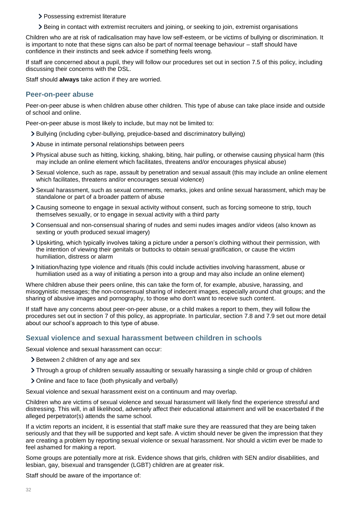- > Possessing extremist literature
- Being in contact with extremist recruiters and joining, or seeking to join, extremist organisations

Children who are at risk of radicalisation may have low self-esteem, or be victims of bullying or discrimination. It is important to note that these signs can also be part of normal teenage behaviour – staff should have confidence in their instincts and seek advice if something feels wrong.

If staff are concerned about a pupil, they will follow our procedures set out in section 7.5 of this policy, including discussing their concerns with the DSL.

Staff should **always** take action if they are worried.

#### **Peer-on-peer abuse**

Peer-on-peer abuse is when children abuse other children. This type of abuse can take place inside and outside of school and online.

Peer-on-peer abuse is most likely to include, but may not be limited to:

- Bullying (including cyber-bullying, prejudice-based and discriminatory bullying)
- Abuse in intimate personal relationships between peers
- Physical abuse such as hitting, kicking, shaking, biting, hair pulling, or otherwise causing physical harm (this may include an online element which facilitates, threatens and/or encourages physical abuse)
- Sexual violence, such as rape, assault by penetration and sexual assault (this may include an online element which facilitates, threatens and/or encourages sexual violence)
- Sexual harassment, such as sexual comments, remarks, jokes and online sexual harassment, which may be standalone or part of a broader pattern of abuse
- Causing someone to engage in sexual activity without consent, such as forcing someone to strip, touch themselves sexually, or to engage in sexual activity with a third party
- Consensual and non-consensual sharing of nudes and semi nudes images and/or videos (also known as sexting or youth produced sexual imagery)
- Upskirting, which typically involves taking a picture under a person's clothing without their permission, with the intention of viewing their genitals or buttocks to obtain sexual gratification, or cause the victim humiliation, distress or alarm
- Initiation/hazing type violence and rituals (this could include activities involving harassment, abuse or humiliation used as a way of initiating a person into a group and may also include an online element)

Where children abuse their peers online, this can take the form of, for example, abusive, harassing, and misogynistic messages; the non-consensual sharing of indecent images, especially around chat groups; and the sharing of abusive images and pornography, to those who don't want to receive such content.

If staff have any concerns about peer-on-peer abuse, or a child makes a report to them, they will follow the procedures set out in section 7 of this policy, as appropriate. In particular, section 7.8 and 7.9 set out more detail about our school's approach to this type of abuse.

#### **Sexual violence and sexual harassment between children in schools**

Sexual violence and sexual harassment can occur:

- > Between 2 children of any age and sex
- Through a group of children sexually assaulting or sexually harassing a single child or group of children
- Online and face to face (both physically and verbally)

Sexual violence and sexual harassment exist on a continuum and may overlap.

Children who are victims of sexual violence and sexual harassment will likely find the experience stressful and distressing. This will, in all likelihood, adversely affect their educational attainment and will be exacerbated if the alleged perpetrator(s) attends the same school.

If a victim reports an incident, it is essential that staff make sure they are reassured that they are being taken seriously and that they will be supported and kept safe. A victim should never be given the impression that they are creating a problem by reporting sexual violence or sexual harassment. Nor should a victim ever be made to feel ashamed for making a report.

Some groups are potentially more at risk. Evidence shows that girls, children with SEN and/or disabilities, and lesbian, gay, bisexual and transgender (LGBT) children are at greater risk.

Staff should be aware of the importance of: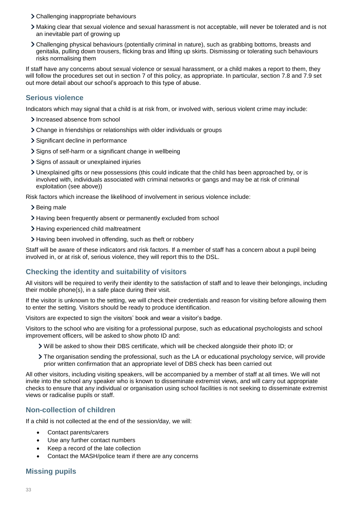- Challenging inappropriate behaviours
- Making clear that sexual violence and sexual harassment is not acceptable, will never be tolerated and is not an inevitable part of growing up
- Challenging physical behaviours (potentially criminal in nature), such as grabbing bottoms, breasts and genitalia, pulling down trousers, flicking bras and lifting up skirts. Dismissing or tolerating such behaviours risks normalising them

If staff have any concerns about sexual violence or sexual harassment, or a child makes a report to them, they will follow the procedures set out in section 7 of this policy, as appropriate. In particular, section 7.8 and 7.9 set out more detail about our school's approach to this type of abuse.

## **Serious violence**

Indicators which may signal that a child is at risk from, or involved with, serious violent crime may include:

- > Increased absence from school
- Change in friendships or relationships with older individuals or groups
- Significant decline in performance
- > Signs of self-harm or a significant change in wellbeing
- > Signs of assault or unexplained injuries
- Unexplained gifts or new possessions (this could indicate that the child has been approached by, or is involved with, individuals associated with criminal networks or gangs and may be at risk of criminal exploitation (see above))

Risk factors which increase the likelihood of involvement in serious violence include:

- > Being male
- Having been frequently absent or permanently excluded from school
- > Having experienced child maltreatment
- Having been involved in offending, such as theft or robbery

Staff will be aware of these indicators and risk factors. If a member of staff has a concern about a pupil being involved in, or at risk of, serious violence, they will report this to the DSL.

# **Checking the identity and suitability of visitors**

All visitors will be required to verify their identity to the satisfaction of staff and to leave their belongings, including their mobile phone(s), in a safe place during their visit.

If the visitor is unknown to the setting, we will check their credentials and reason for visiting before allowing them to enter the setting. Visitors should be ready to produce identification.

Visitors are expected to sign the visitors' book and wear a visitor's badge.

Visitors to the school who are visiting for a professional purpose, such as educational psychologists and school improvement officers, will be asked to show photo ID and:

- Will be asked to show their DBS certificate, which will be checked alongside their photo ID; or
- The organisation sending the professional, such as the LA or educational psychology service, will provide prior written confirmation that an appropriate level of DBS check has been carried out

All other visitors, including visiting speakers, will be accompanied by a member of staff at all times. We will not invite into the school any speaker who is known to disseminate extremist views, and will carry out appropriate checks to ensure that any individual or organisation using school facilities is not seeking to disseminate extremist views or radicalise pupils or staff.

# **Non-collection of children**

If a child is not collected at the end of the session/day, we will:

- Contact parents/carers
- Use any further contact numbers
- Keep a record of the late collection
- Contact the MASH/police team if there are any concerns

# **Missing pupils**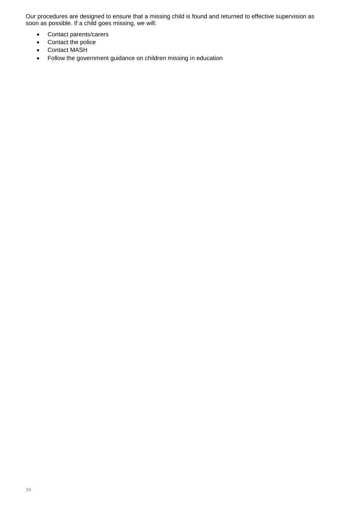Our procedures are designed to ensure that a missing child is found and returned to effective supervision as soon as possible. If a child goes missing, we will:

- Contact parents/carers
- Contact the police
- Contact MASH
- Follow the government guidance on children missing in education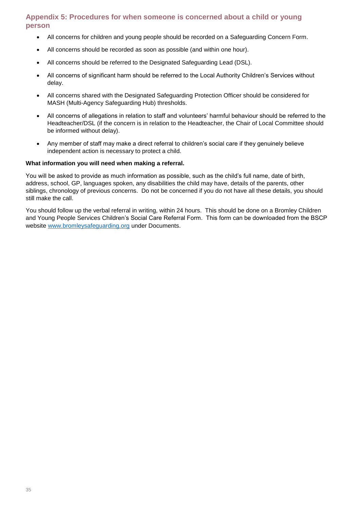# **Appendix 5: Procedures for when someone is concerned about a child or young person**

- All concerns for children and young people should be recorded on a Safeguarding Concern Form.
- All concerns should be recorded as soon as possible (and within one hour).
- All concerns should be referred to the Designated Safeguarding Lead (DSL).
- All concerns of significant harm should be referred to the Local Authority Children's Services without delay.
- All concerns shared with the Designated Safeguarding Protection Officer should be considered for MASH (Multi-Agency Safeguarding Hub) thresholds.
- All concerns of allegations in relation to staff and volunteers' harmful behaviour should be referred to the Headteacher/DSL (if the concern is in relation to the Headteacher, the Chair of Local Committee should be informed without delay).
- Any member of staff may make a direct referral to children's social care if they genuinely believe independent action is necessary to protect a child.

#### **What information you will need when making a referral.**

You will be asked to provide as much information as possible, such as the child's full name, date of birth, address, school, GP, languages spoken, any disabilities the child may have, details of the parents, other siblings, chronology of previous concerns. Do not be concerned if you do not have all these details, you should still make the call.

You should follow up the verbal referral in writing, within 24 hours. This should be done on a Bromley Children and Young People Services Children's Social Care Referral Form. This form can be downloaded from the BSCP website [www.bromleysafeguarding.org](http://www.bromleysafeguarding.org/) under Documents.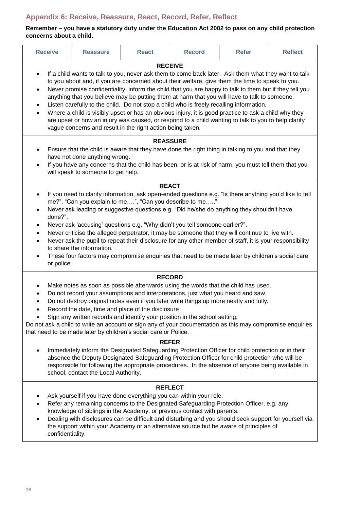# <span id="page-35-0"></span>**Appendix 6: Receive, Reassure, React, Record, Refer, Reflect**

## **Remember – you have a statutory duty under the Education Act 2002 to pass on any child protection concerns about a child.**

| <b>Receive</b>                                                                                                                                                                                                                                                                                                                                                                                                                                                                                                                                                                                                                                                                                                                                                                                                                                                                                                                                                                | <b>Reassure</b>                      | <b>React</b> | <b>Record</b>                                                                                                                                                                                                                                                                                                                                                                                                                                                  | <b>Refer</b> | <b>Reflect</b> |
|-------------------------------------------------------------------------------------------------------------------------------------------------------------------------------------------------------------------------------------------------------------------------------------------------------------------------------------------------------------------------------------------------------------------------------------------------------------------------------------------------------------------------------------------------------------------------------------------------------------------------------------------------------------------------------------------------------------------------------------------------------------------------------------------------------------------------------------------------------------------------------------------------------------------------------------------------------------------------------|--------------------------------------|--------------|----------------------------------------------------------------------------------------------------------------------------------------------------------------------------------------------------------------------------------------------------------------------------------------------------------------------------------------------------------------------------------------------------------------------------------------------------------------|--------------|----------------|
| <b>RECEIVE</b><br>If a child wants to talk to you, never ask them to come back later. Ask them what they want to talk<br>$\bullet$<br>to you about and, if you are concerned about their welfare, give them the time to speak to you.<br>Never promise confidentiality, inform the child that you are happy to talk to them but if they tell you<br>$\bullet$<br>anything that you believe may be putting them at harm that you will have to talk to someone.<br>Listen carefully to the child. Do not stop a child who is freely recalling information.<br>$\bullet$<br>Where a child is visibly upset or has an obvious injury, it is good practice to ask a child why they<br>$\bullet$<br>are upset or how an injury was caused, or respond to a child wanting to talk to you to help clarify<br>vague concerns and result in the right action being taken.                                                                                                               |                                      |              |                                                                                                                                                                                                                                                                                                                                                                                                                                                                |              |                |
| <b>REASSURE</b><br>Ensure that the child is aware that they have done the right thing in talking to you and that they<br>٠<br>have not done anything wrong.<br>If you have any concerns that the child has been, or is at risk of harm, you must tell them that you<br>$\bullet$<br>will speak to someone to get help.                                                                                                                                                                                                                                                                                                                                                                                                                                                                                                                                                                                                                                                        |                                      |              |                                                                                                                                                                                                                                                                                                                                                                                                                                                                |              |                |
| <b>REACT</b><br>If you need to clarify information, ask open-ended questions e.g. "Is there anything you'd like to tell<br>$\bullet$<br>me?". "Can you explain to me", "Can you describe to me".<br>Never ask leading or suggestive questions e.g. "Did he/she do anything they shouldn't have<br>$\bullet$<br>done?".<br>Never ask 'accusing' questions e.g. "Why didn't you tell someone earlier?".<br>$\bullet$<br>Never criticise the alleged perpetrator, it may be someone that they will continue to live with.<br>$\bullet$<br>Never ask the pupil to repeat their disclosure for any other member of staff, it is your responsibility<br>$\bullet$<br>to share the information.<br>These four factors may compromise enquiries that need to be made later by children's social care<br>٠<br>or police.                                                                                                                                                               |                                      |              |                                                                                                                                                                                                                                                                                                                                                                                                                                                                |              |                |
| <b>RECORD</b><br>Make notes as soon as possible afterwards using the words that the child has used.<br>٠<br>Do not record your assumptions and interpretations, just what you heard and saw.<br>$\bullet$<br>Do not destroy original notes even if you later write things up more neatly and fully.<br>$\bullet$<br>Record the date, time and place of the disclosure<br>$\bullet$<br>Sign any written records and identify your position in the school setting.<br>Do not ask a child to write an account or sign any of your documentation as this may compromise enquiries<br>that need to be made later by children's social care or Police.<br><b>REFER</b><br>Immediately inform the Designated Safeguarding Protection Officer for child protection or in their<br>absence the Deputy Designated Safeguarding Protection Officer for child protection who will be<br>responsible for following the appropriate procedures. In the absence of anyone being available in |                                      |              |                                                                                                                                                                                                                                                                                                                                                                                                                                                                |              |                |
| confidentiality.                                                                                                                                                                                                                                                                                                                                                                                                                                                                                                                                                                                                                                                                                                                                                                                                                                                                                                                                                              | school, contact the Local Authority. |              | <b>REFLECT</b><br>Ask yourself if you have done everything you can within your role.<br>Refer any remaining concerns to the Designated Safeguarding Protection Officer, e.g. any<br>knowledge of siblings in the Academy, or previous contact with parents.<br>Dealing with disclosures can be difficult and disturbing and you should seek support for yourself via<br>the support within your Academy or an alternative source but be aware of principles of |              |                |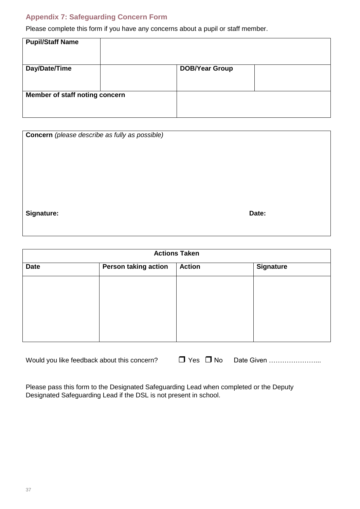# <span id="page-36-0"></span>**Appendix 7: Safeguarding Concern Form**

Please complete this form if you have any concerns about a pupil or staff member.

| <b>Pupil/Staff Name</b>        |  |                       |  |
|--------------------------------|--|-----------------------|--|
| Day/Date/Time                  |  | <b>DOB/Year Group</b> |  |
|                                |  |                       |  |
| Member of staff noting concern |  |                       |  |
|                                |  |                       |  |

| <b>Concern</b> (please describe as fully as possible) |       |
|-------------------------------------------------------|-------|
| Signature:                                            | Date: |

| <b>Actions Taken</b> |                             |                                   |  |  |
|----------------------|-----------------------------|-----------------------------------|--|--|
| <b>Date</b>          | <b>Person taking action</b> | <b>Action</b><br><b>Signature</b> |  |  |
|                      |                             |                                   |  |  |
|                      |                             |                                   |  |  |
|                      |                             |                                   |  |  |
|                      |                             |                                   |  |  |
|                      |                             |                                   |  |  |

| Would you like feedback about this concern? |  |  |
|---------------------------------------------|--|--|
|---------------------------------------------|--|--|

Please pass this form to the Designated Safeguarding Lead when completed or the Deputy Designated Safeguarding Lead if the DSL is not present in school.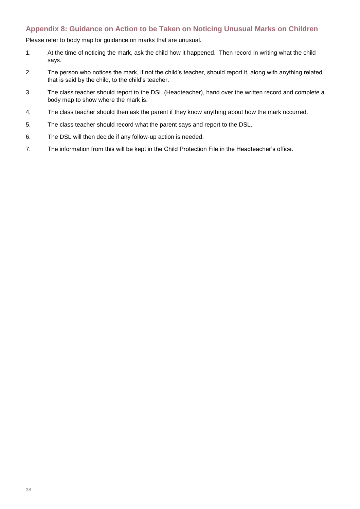# <span id="page-37-0"></span>**Appendix 8: Guidance on Action to be Taken on Noticing Unusual Marks on Children**

Please refer to body map for guidance on marks that are unusual.

- 1. At the time of noticing the mark, ask the child how it happened. Then record in writing what the child says.
- 2. The person who notices the mark, if not the child's teacher, should report it, along with anything related that is said by the child, to the child's teacher.
- 3. The class teacher should report to the DSL (Headteacher), hand over the written record and complete a body map to show where the mark is.
- 4. The class teacher should then ask the parent if they know anything about how the mark occurred.
- 5. The class teacher should record what the parent says and report to the DSL.
- 6. The DSL will then decide if any follow-up action is needed.
- 7. The information from this will be kept in the Child Protection File in the Headteacher's office.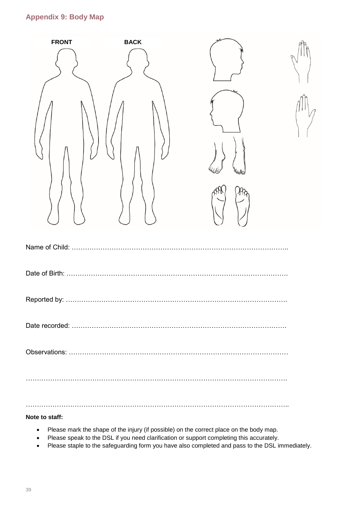# <span id="page-38-0"></span>**Appendix 9: Body Map**

| <b>FRONT</b>   | <b>BACK</b> |                   |  |
|----------------|-------------|-------------------|--|
|                |             |                   |  |
|                |             | <sup>2</sup> 6610 |  |
|                |             |                   |  |
| Name of Child: |             |                   |  |
|                |             |                   |  |
|                |             |                   |  |
|                |             |                   |  |
|                |             |                   |  |
|                |             |                   |  |

………………………………………………………………………………………………………..

**Note to staff:**

- Please mark the shape of the injury (if possible) on the correct place on the body map.
- Please speak to the DSL if you need clarification or support completing this accurately.
- Please staple to the safeguarding form you have also completed and pass to the DSL immediately.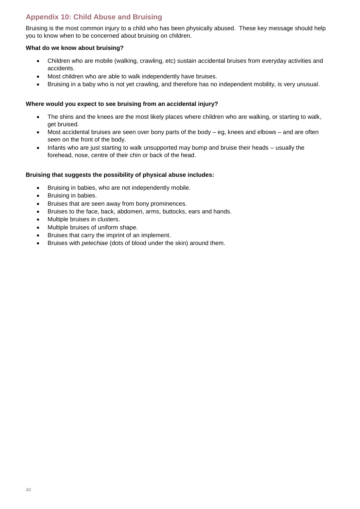# <span id="page-39-0"></span>**Appendix 10: Child Abuse and Bruising**

Bruising is the most common injury to a child who has been physically abused. These key message should help you to know when to be concerned about bruising on children.

#### **What do we know about bruising?**

- Children who are mobile (walking, crawling, etc) sustain accidental bruises from everyday activities and accidents.
- Most children who are able to walk independently have bruises.
- Bruising in a baby who is not yet crawling, and therefore has no independent mobility, is very unusual.

#### **Where would you expect to see bruising from an accidental injury?**

- The shins and the knees are the most likely places where children who are walking, or starting to walk, get bruised.
- Most accidental bruises are seen over bony parts of the body eg, knees and elbows and are often seen on the front of the body.
- Infants who are just starting to walk unsupported may bump and bruise their heads usually the forehead, nose, centre of their chin or back of the head.

#### **Bruising that suggests the possibility of physical abuse includes:**

- Bruising in babies, who are not independently mobile.
- Bruising in babies.
- Bruises that are seen away from bony prominences.
- Bruises to the face, back, abdomen, arms, buttocks, ears and hands.
- Multiple bruises in clusters.
- Multiple bruises of uniform shape.
- Bruises that carry the imprint of an implement.
- Bruises with *petechiae* (dots of blood under the skin) around them.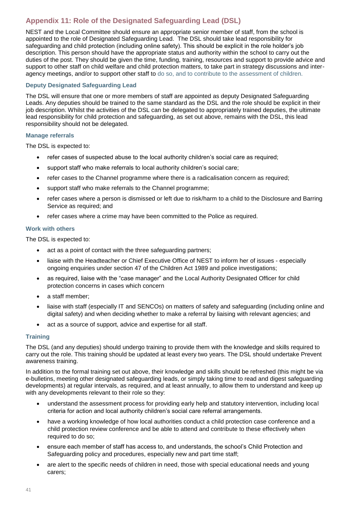# <span id="page-40-0"></span>**Appendix 11: Role of the Designated Safeguarding Lead (DSL)**

NEST and the Local Committee should ensure an appropriate senior member of staff, from the school is appointed to the role of Designated Safeguarding Lead. The DSL should take lead responsibility for safeguarding and child protection (including online safety). This should be explicit in the role holder's job description. This person should have the appropriate status and authority within the school to carry out the duties of the post. They should be given the time, funding, training, resources and support to provide advice and support to other staff on child welfare and child protection matters, to take part in strategy discussions and interagency meetings, and/or to support other staff to do so, and to contribute to the assessment of children.

#### **Deputy Designated Safeguarding Lead**

The DSL will ensure that one or more members of staff are appointed as deputy Designated Safeguarding Leads. Any deputies should be trained to the same standard as the DSL and the role should be explicit in their job description. Whilst the activities of the DSL can be delegated to appropriately trained deputies, the ultimate lead responsibility for child protection and safeguarding, as set out above, remains with the DSL, this lead responsibility should not be delegated.

#### **Manage referrals**

The DSL is expected to:

- refer cases of suspected abuse to the local authority children's social care as required;
- support staff who make referrals to local authority children's social care;
- refer cases to the Channel programme where there is a radicalisation concern as required;
- support staff who make referrals to the Channel programme;
- refer cases where a person is dismissed or left due to risk/harm to a child to the Disclosure and Barring Service as required; and
- refer cases where a crime may have been committed to the Police as required.

#### **Work with others**

The DSL is expected to:

- act as a point of contact with the three safeguarding partners;
- liaise with the Headteacher or Chief Executive Office of NEST to inform her of issues especially ongoing enquiries under section 47 of the Children Act 1989 and police investigations;
- as required, liaise with the "case manager" and the Local Authority Designated Officer for child protection concerns in cases which concern
- a staff member;
- liaise with staff (especially IT and SENCOs) on matters of safety and safeguarding (including online and digital safety) and when deciding whether to make a referral by liaising with relevant agencies; and
- act as a source of support, advice and expertise for all staff.

#### **Training**

The DSL (and any deputies) should undergo training to provide them with the knowledge and skills required to carry out the role. This training should be updated at least every two years. The DSL should undertake Prevent awareness training.

In addition to the formal training set out above, their knowledge and skills should be refreshed (this might be via e-bulletins, meeting other designated safeguarding leads, or simply taking time to read and digest safeguarding developments) at regular intervals, as required, and at least annually, to allow them to understand and keep up with any developments relevant to their role so they:

- understand the assessment process for providing early help and statutory intervention, including local criteria for action and local authority children's social care referral arrangements.
- have a working knowledge of how local authorities conduct a child protection case conference and a child protection review conference and be able to attend and contribute to these effectively when required to do so;
- ensure each member of staff has access to, and understands, the school's Child Protection and Safeguarding policy and procedures, especially new and part time staff;
- are alert to the specific needs of children in need, those with special educational needs and young carers;